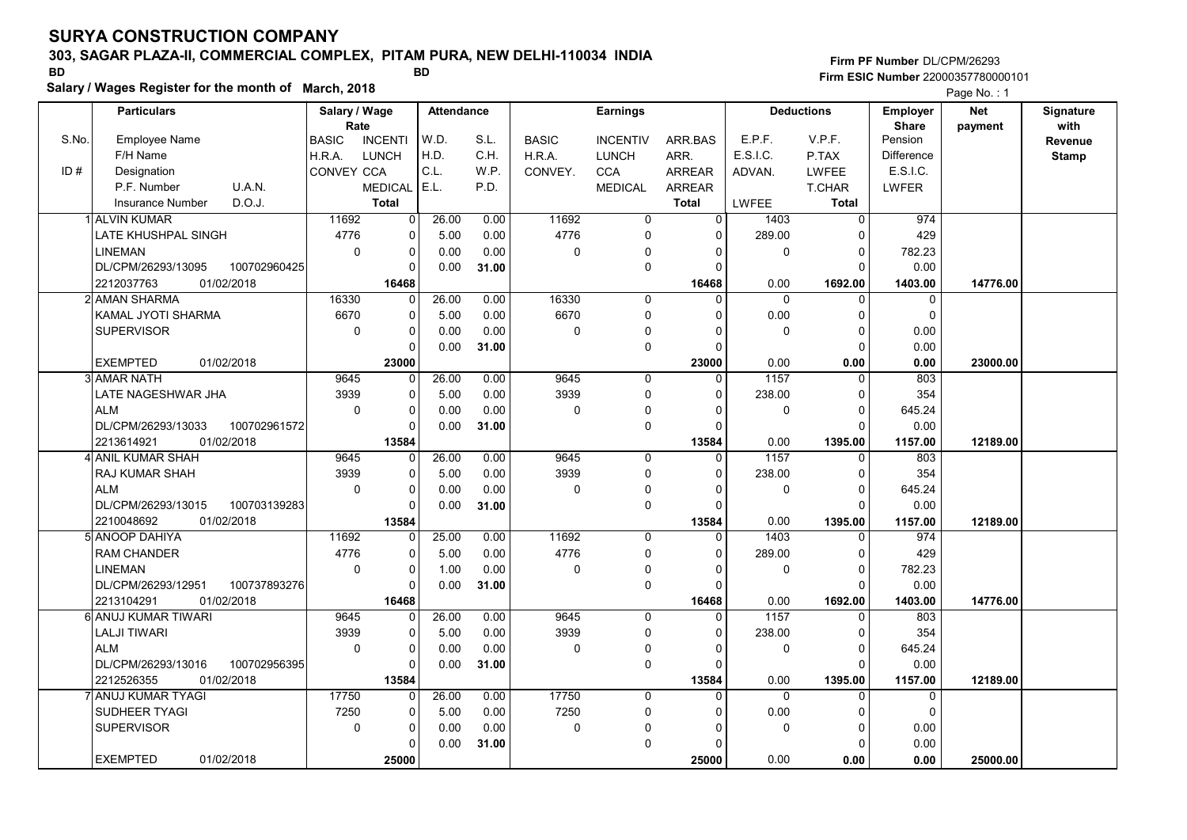# 303, SAGAR PLAZA-II, COMMERCIAL COMPLEX, PITAM PURA, NEW DELHI-110034 INDIA

Salary / Wages Register for the month of March, 2018

### Firm PF Number DL/CPM/26293 Firm ESIC Number <sup>22000357780000101</sup> BD BD

|       | <b>Particulars</b>                 | Salary / Wage        |                | Attendance |       |              | <b>Earnings</b> |                |          | <b>Deductions</b> | <b>Employer</b>         | <b>Net</b> | Signature       |
|-------|------------------------------------|----------------------|----------------|------------|-------|--------------|-----------------|----------------|----------|-------------------|-------------------------|------------|-----------------|
| S.No. | Employee Name                      | Rate<br><b>BASIC</b> | <b>INCENTI</b> | W.D.       | S.L.  | <b>BASIC</b> | <b>INCENTIV</b> | ARR.BAS        | E.P.F.   | V.P.F.            | <b>Share</b><br>Pension | payment    | with<br>Revenue |
|       | F/H Name                           | H.R.A.               | <b>LUNCH</b>   | H.D.       | C.H.  | H.R.A.       | <b>LUNCH</b>    | ARR.           | E.S.I.C. | P.TAX             | <b>Difference</b>       |            | <b>Stamp</b>    |
| ID#   | Designation                        | CONVEY CCA           |                | C.L.       | W.P.  | CONVEY.      | <b>CCA</b>      | ARREAR         | ADVAN.   | LWFEE             | E.S.I.C.                |            |                 |
|       | P.F. Number<br>U.A.N.              |                      | <b>MEDICAL</b> | E.L.       | P.D.  |              | <b>MEDICAL</b>  | ARREAR         |          | T.CHAR            | LWFER                   |            |                 |
|       | D.O.J.<br><b>Insurance Number</b>  |                      | <b>Total</b>   |            |       |              |                 | Total          | LWFEE    | Total             |                         |            |                 |
|       | <b>ALVIN KUMAR</b>                 | 11692                | $\overline{0}$ | 26.00      | 0.00  | 11692        | 0               | $\overline{0}$ | 1403     | $\Omega$          | 974                     |            |                 |
|       | <b>LATE KHUSHPAL SINGH</b>         | 4776                 | 0              | 5.00       | 0.00  | 4776         | 0               | $\Omega$       | 289.00   | $\Omega$          | 429                     |            |                 |
|       | <b>LINEMAN</b>                     | $\mathbf 0$          | 0              | 0.00       | 0.00  | 0            | $\Omega$        | $\Omega$       | 0        | $\overline{0}$    | 782.23                  |            |                 |
|       | DL/CPM/26293/13095<br>100702960425 |                      | U              | 0.00       | 31.00 |              | $\mathbf 0$     | $\Omega$       |          | $\Omega$          | 0.00                    |            |                 |
|       | 2212037763<br>01/02/2018           |                      | 16468          |            |       |              |                 | 16468          | 0.00     | 1692.00           | 1403.00                 | 14776.00   |                 |
|       | 2 AMAN SHARMA                      | 16330                | $\Omega$       | 26.00      | 0.00  | 16330        | $\mathbf 0$     | $\Omega$       | $\Omega$ | $\Omega$          | $\mathbf 0$             |            |                 |
|       | KAMAL JYOTI SHARMA                 | 6670                 | 0              | 5.00       | 0.00  | 6670         | $\mathbf 0$     | $\Omega$       | 0.00     | $\mathbf 0$       | $\mathbf 0$             |            |                 |
|       | <b>SUPERVISOR</b>                  | $\mathbf 0$          | 0              | 0.00       | 0.00  | 0            | $\mathbf 0$     | O              | 0        | $\overline{0}$    | 0.00                    |            |                 |
|       |                                    |                      | $\Omega$       | 0.00       | 31.00 |              | $\Omega$        | $\Omega$       |          | $\Omega$          | 0.00                    |            |                 |
|       | <b>EXEMPTED</b><br>01/02/2018      |                      | 23000          |            |       |              |                 | 23000          | 0.00     | 0.00              | 0.00                    | 23000.00   |                 |
|       | 3 AMAR NATH                        | 9645                 | $\Omega$       | 26.00      | 0.00  | 9645         | $\mathbf 0$     | 0              | 1157     | $\Omega$          | 803                     |            |                 |
|       | LATE NAGESHWAR JHA                 | 3939                 | 0              | 5.00       | 0.00  | 3939         | $\mathbf 0$     | $\Omega$       | 238.00   | $\Omega$          | 354                     |            |                 |
|       | <b>ALM</b>                         | $\pmb{0}$            | 0              | 0.00       | 0.00  | $\Omega$     | 0               | $\Omega$       | 0        | $\overline{0}$    | 645.24                  |            |                 |
|       | DL/CPM/26293/13033<br>100702961572 |                      | $\Omega$       | 0.00       | 31.00 |              | $\mathbf 0$     | $\Omega$       |          | $\Omega$          | 0.00                    |            |                 |
|       | 2213614921<br>01/02/2018           |                      | 13584          |            |       |              |                 | 13584          | 0.00     | 1395.00           | 1157.00                 | 12189.00   |                 |
|       | 4 ANIL KUMAR SHAH                  | 9645                 | 0              | 26.00      | 0.00  | 9645         | $\mathbf 0$     | $\Omega$       | 1157     | $\Omega$          | 803                     |            |                 |
|       | <b>RAJ KUMAR SHAH</b>              | 3939                 | 0              | 5.00       | 0.00  | 3939         | $\mathbf 0$     | $\Omega$       | 238.00   | $\mathbf 0$       | 354                     |            |                 |
|       | <b>ALM</b>                         | $\Omega$             | $\Omega$       | 0.00       | 0.00  | 0            | 0               | $\Omega$       | 0        | $\Omega$          | 645.24                  |            |                 |
|       | 100703139283<br>DL/CPM/26293/13015 |                      | $\Omega$       | 0.00       | 31.00 |              | $\mathbf 0$     | $\Omega$       |          | $\Omega$          | 0.00                    |            |                 |
|       | 01/02/2018<br>2210048692           |                      | 13584          |            |       |              |                 | 13584          | 0.00     | 1395.00           | 1157.00                 | 12189.00   |                 |
|       | 5 ANOOP DAHIYA                     | 11692                | $\overline{0}$ | 25.00      | 0.00  | 11692        | $\mathbf 0$     | $\Omega$       | 1403     | $\Omega$          | 974                     |            |                 |
|       | <b>RAM CHANDER</b>                 | 4776                 | $\Omega$       | 5.00       | 0.00  | 4776         | $\Omega$        | $\Omega$       | 289.00   | $\Omega$          | 429                     |            |                 |
|       | <b>LINEMAN</b>                     | $\pmb{0}$            | 0              | 1.00       | 0.00  | 0            | $\mathbf 0$     | $\Omega$       | 0        | $\mathbf 0$       | 782.23                  |            |                 |
|       | DL/CPM/26293/12951<br>100737893276 |                      | 0              | 0.00       | 31.00 |              | $\mathbf 0$     | $\Omega$       |          | $\Omega$          | 0.00                    |            |                 |
|       | 01/02/2018<br>2213104291           |                      | 16468          |            |       |              |                 | 16468          | 0.00     | 1692.00           | 1403.00                 | 14776.00   |                 |
|       | 6 ANUJ KUMAR TIWARI                | 9645                 | 0              | 26.00      | 0.00  | 9645         | $\Omega$        | $\Omega$       | 1157     | $\Omega$          | 803                     |            |                 |
|       | <b>LALJI TIWARI</b>                | 3939                 | 0              | 5.00       | 0.00  | 3939         | $\mathbf 0$     | $\Omega$       | 238.00   | $\mathbf 0$       | 354                     |            |                 |
|       | <b>ALM</b>                         | $\mathbf 0$          | 0              | 0.00       | 0.00  | 0            | $\mathbf 0$     | $\Omega$       | 0        | $\Omega$          | 645.24                  |            |                 |
|       | DL/CPM/26293/13016<br>100702956395 |                      | 0              | 0.00       | 31.00 |              | $\mathbf 0$     | $\Omega$       |          | $\Omega$          | 0.00                    |            |                 |
|       | 2212526355<br>01/02/2018           |                      | 13584          |            |       |              |                 | 13584          | 0.00     | 1395.00           | 1157.00                 | 12189.00   |                 |
|       | 7 ANUJ KUMAR TYAGI                 | 17750                | $\Omega$       | 26.00      | 0.00  | 17750        | $\mathbf 0$     | $\Omega$       | 0        | $\Omega$          | $\mathbf 0$             |            |                 |
|       | SUDHEER TYAGI                      | 7250                 | 0              | 5.00       | 0.00  | 7250         | $\mathbf 0$     | $\Omega$       | 0.00     | 0                 | $\mathbf 0$             |            |                 |
|       | <b>SUPERVISOR</b>                  | $\mathbf 0$          | 0              | 0.00       | 0.00  | 0            | $\Omega$        | $\Omega$       | 0        | $\Omega$          | 0.00                    |            |                 |
|       |                                    |                      | U              | 0.00       | 31.00 |              | $\mathbf 0$     | $\Omega$       |          | $\Omega$          | 0.00                    |            |                 |
|       | <b>EXEMPTED</b><br>01/02/2018      |                      | 25000          |            |       |              |                 | 25000          | 0.00     | 0.00              | 0.00                    | 25000.00   |                 |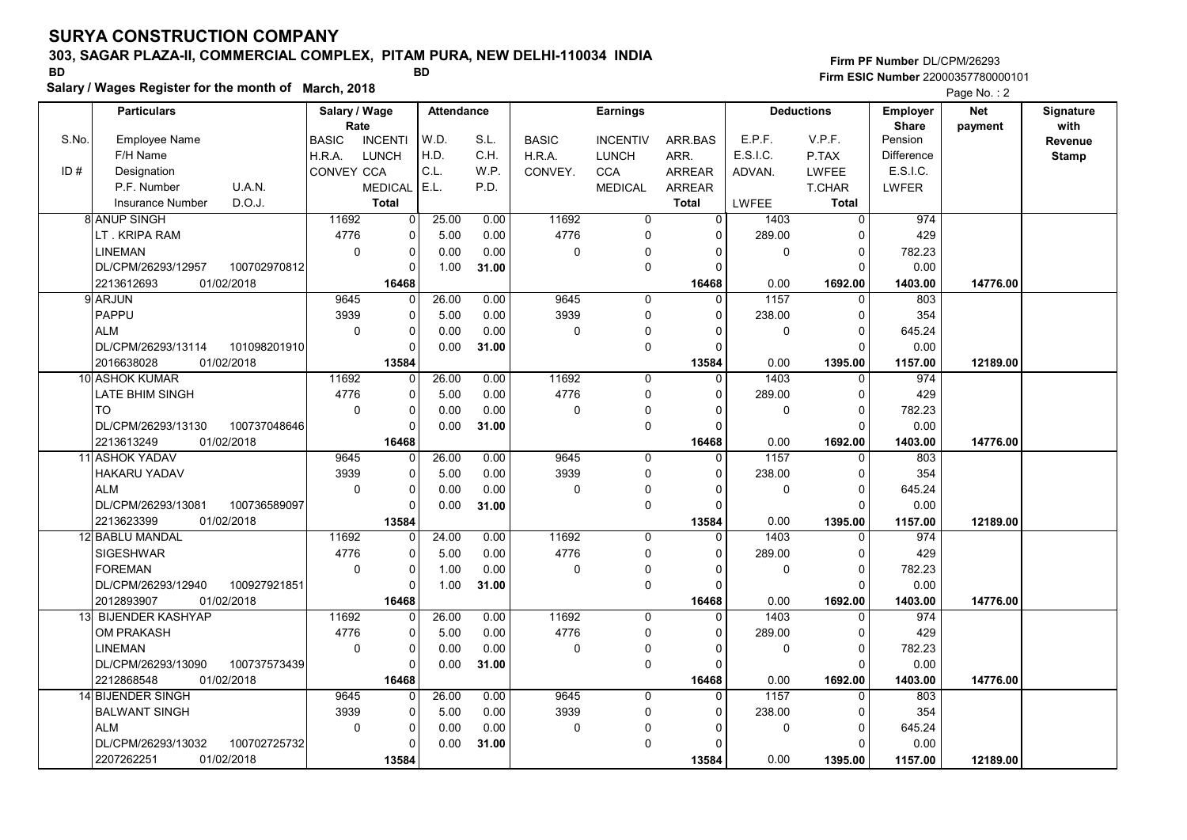# 303, SAGAR PLAZA-II, COMMERCIAL COMPLEX, PITAM PURA, NEW DELHI-110034 INDIA

Salary / Wages Register for the month of March, 2018

### Firm PF Number DL/CPM/26293 Firm ESIC Number <sup>22000357780000101</sup> BD BD

|       | <b>Particulars</b>                 | Salary / Wage        |                | <b>Attendance</b> |       |              | <b>Earnings</b> |                |              | <b>Deductions</b> | <b>Employer</b>         | <b>Net</b> | Signature<br>with |
|-------|------------------------------------|----------------------|----------------|-------------------|-------|--------------|-----------------|----------------|--------------|-------------------|-------------------------|------------|-------------------|
| S.No. | Employee Name                      | Rate<br><b>BASIC</b> | <b>INCENTI</b> | W.D.              | S.L.  | <b>BASIC</b> | <b>INCENTIV</b> | ARR.BAS        | E.P.F.       | V.P.F.            | <b>Share</b><br>Pension | payment    | Revenue           |
|       | F/H Name                           | H.R.A.               | <b>LUNCH</b>   | H.D.              | C.H.  | H.R.A.       | <b>LUNCH</b>    | ARR.           | E.S.I.C.     | P.TAX             | <b>Difference</b>       |            | <b>Stamp</b>      |
| ID#   | Designation                        | CONVEY CCA           |                | C.L.              | W.P.  | CONVEY.      | <b>CCA</b>      | <b>ARREAR</b>  | ADVAN.       | <b>LWFEE</b>      | E.S.I.C.                |            |                   |
|       | P.F. Number<br>U.A.N.              |                      | MEDICAL   E.L. |                   | P.D.  |              | <b>MEDICAL</b>  | <b>ARREAR</b>  |              | T.CHAR            | LWFER                   |            |                   |
|       | D.O.J.<br><b>Insurance Number</b>  |                      | <b>Total</b>   |                   |       |              |                 | <b>Total</b>   | <b>LWFEE</b> | <b>Total</b>      |                         |            |                   |
|       | <b>8 ANUP SINGH</b>                | 11692                | $\Omega$       | 25.00             | 0.00  | 11692        | $\mathbf 0$     | $\overline{0}$ | 1403         | $\Omega$          | 974                     |            |                   |
|       | LT. KRIPA RAM                      | 4776                 | 0              | 5.00              | 0.00  | 4776         | $\mathbf 0$     | $\Omega$       | 289.00       | $\Omega$          | 429                     |            |                   |
|       | <b>LINEMAN</b>                     | $\mathbf 0$          | $\mathbf 0$    | 0.00              | 0.00  | 0            | $\mathbf 0$     | 0              | 0            | $\overline{0}$    | 782.23                  |            |                   |
|       | DL/CPM/26293/12957<br>100702970812 |                      | $\Omega$       | 1.00              | 31.00 |              | $\mathbf 0$     | $\Omega$       |              | $\Omega$          | 0.00                    |            |                   |
|       | 2213612693<br>01/02/2018           |                      | 16468          |                   |       |              |                 | 16468          | 0.00         | 1692.00           | 1403.00                 | 14776.00   |                   |
|       | 9 ARJUN                            | 9645                 | $\Omega$       | 26.00             | 0.00  | 9645         | $\mathbf 0$     | $\Omega$       | 1157         | $\mathbf 0$       | 803                     |            |                   |
|       | PAPPU                              | 3939                 | $\mathbf 0$    | 5.00              | 0.00  | 3939         | $\mathbf 0$     | 0              | 238.00       | $\overline{0}$    | 354                     |            |                   |
|       | <b>ALM</b>                         | $\Omega$             | $\mathbf 0$    | 0.00              | 0.00  | 0            | 0               |                | 0            | $\Omega$          | 645.24                  |            |                   |
|       | DL/CPM/26293/13114<br>101098201910 |                      | $\Omega$       | 0.00              | 31.00 |              | $\mathbf 0$     | $\Omega$       |              | $\Omega$          | 0.00                    |            |                   |
|       | 2016638028<br>01/02/2018           |                      | 13584          |                   |       |              |                 | 13584          | 0.00         | 1395.00           | 1157.00                 | 12189.00   |                   |
|       | 10 ASHOK KUMAR                     | 11692                | 0              | 26.00             | 0.00  | 11692        | 0               | 0              | 1403         | 0                 | 974                     |            |                   |
|       | <b>LATE BHIM SINGH</b>             | 4776                 | $\mathbf 0$    | 5.00              | 0.00  | 4776         | $\mathbf 0$     | $\Omega$       | 289.00       | $\Omega$          | 429                     |            |                   |
|       | <b>TO</b>                          | $\mathbf 0$          | $\mathbf 0$    | 0.00              | 0.00  | 0            | 0               | $\Omega$       | 0            | $\overline{0}$    | 782.23                  |            |                   |
|       | DL/CPM/26293/13130<br>100737048646 |                      | $\mathbf 0$    | 0.00              | 31.00 |              | $\mathbf 0$     | $\Omega$       |              | $\Omega$          | 0.00                    |            |                   |
|       | 2213613249<br>01/02/2018           |                      | 16468          |                   |       |              |                 | 16468          | 0.00         | 1692.00           | 1403.00                 | 14776.00   |                   |
|       | 11 ASHOK YADAV                     | 9645                 | $\Omega$       | 26.00             | 0.00  | 9645         | $\mathbf 0$     | $\Omega$       | 1157         | $\Omega$          | 803                     |            |                   |
|       | <b>HAKARU YADAV</b>                | 3939                 | $\Omega$       | 5.00              | 0.00  | 3939         | $\mathbf 0$     | $\Omega$       | 238.00       | $\Omega$          | 354                     |            |                   |
|       | <b>ALM</b>                         | $\mathbf 0$          | $\Omega$       | 0.00              | 0.00  | 0            | 0               | $\Omega$       | 0            | $\overline{0}$    | 645.24                  |            |                   |
|       | DL/CPM/26293/13081<br>100736589097 |                      | $\mathbf 0$    | 0.00              | 31.00 |              | 0               | $\Omega$       |              | $\Omega$          | 0.00                    |            |                   |
|       | 2213623399<br>01/02/2018           |                      | 13584          |                   |       |              |                 | 13584          | 0.00         | 1395.00           | 1157.00                 | 12189.00   |                   |
|       | 12 BABLU MANDAL                    | 11692                | $\Omega$       | 24.00             | 0.00  | 11692        | $\mathbf 0$     | $\Omega$       | 1403         | $\Omega$          | 974                     |            |                   |
|       | SIGESHWAR                          | 4776                 | $\Omega$       | 5.00              | 0.00  | 4776         | $\mathbf 0$     | $\Omega$       | 289.00       | $\Omega$          | 429                     |            |                   |
|       | <b>FOREMAN</b>                     | 0                    | $\pmb{0}$      | 1.00              | 0.00  | 0            | 0               | $\Omega$       | 0            | $\mathbf 0$       | 782.23                  |            |                   |
|       | DL/CPM/26293/12940<br>100927921851 |                      | $\Omega$       | 1.00              | 31.00 |              | $\mathbf 0$     | $\Omega$       |              | $\Omega$          | 0.00                    |            |                   |
|       | 01/02/2018<br>2012893907           |                      | 16468          |                   |       |              |                 | 16468          | 0.00         | 1692.00           | 1403.00                 | 14776.00   |                   |
|       | 13 BIJENDER KASHYAP                | 11692                | $\Omega$       | 26.00             | 0.00  | 11692        | $\mathbf 0$     | $\Omega$       | 1403         | $\mathbf{0}$      | 974                     |            |                   |
|       | <b>OM PRAKASH</b>                  | 4776                 | $\mathbf 0$    | 5.00              | 0.00  | 4776         | 0               | 0              | 289.00       | $\Omega$          | 429                     |            |                   |
|       | <b>LINEMAN</b>                     | $\mathbf 0$          | $\mathbf 0$    | 0.00              | 0.00  | 0            | $\mathbf 0$     | $\Omega$       | 0            | $\Omega$          | 782.23                  |            |                   |
|       | 100737573439<br>DL/CPM/26293/13090 |                      | $\Omega$       | 0.00              | 31.00 |              | $\mathbf 0$     | $\Omega$       |              | $\Omega$          | 0.00                    |            |                   |
|       | 01/02/2018<br>2212868548           |                      | 16468          |                   |       |              |                 | 16468          | 0.00         | 1692.00           | 1403.00                 | 14776.00   |                   |
|       | 14 BIJENDER SINGH                  | 9645                 | $\Omega$       | 26.00             | 0.00  | 9645         | $\Omega$        | $\Omega$       | 1157         | $\Omega$          | 803                     |            |                   |
|       | <b>BALWANT SINGH</b>               | 3939                 | $\mathbf 0$    | 5.00              | 0.00  | 3939         | $\mathbf 0$     | $\Omega$       | 238.00       | $\mathbf 0$       | 354                     |            |                   |
|       | <b>ALM</b>                         | $\mathbf 0$          | $\mathbf 0$    | 0.00              | 0.00  | 0            | $\Omega$        | $\Omega$       | 0            | $\overline{0}$    | 645.24                  |            |                   |
|       | DL/CPM/26293/13032<br>100702725732 |                      | $\Omega$       | 0.00              | 31.00 |              | $\mathbf 0$     | $\Omega$       |              | $\Omega$          | 0.00                    |            |                   |
|       | 2207262251<br>01/02/2018           |                      | 13584          |                   |       |              |                 | 13584          | 0.00         | 1395.00           | 1157.00                 | 12189.00   |                   |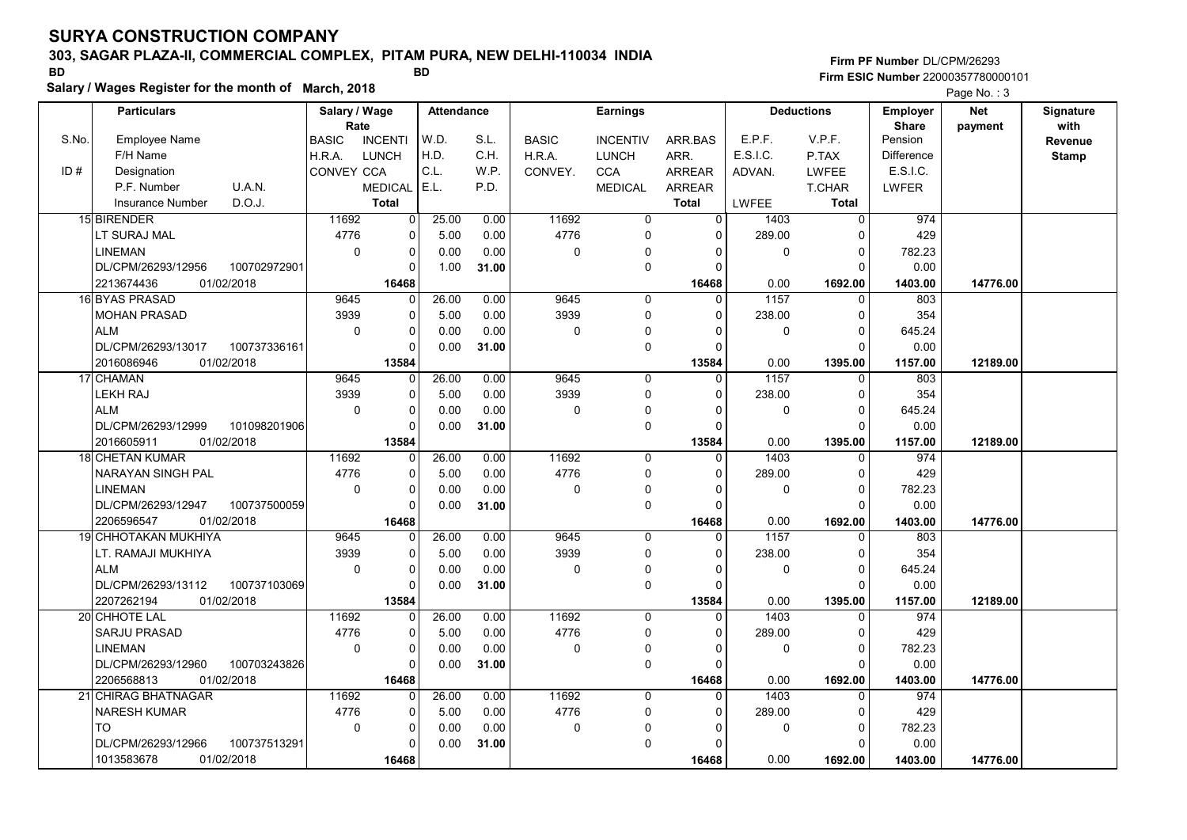# 303, SAGAR PLAZA-II, COMMERCIAL COMPLEX, PITAM PURA, NEW DELHI-110034 INDIA

Salary / Wages Register for the month of March, 2018

### Firm PF Number DL/CPM/26293 Firm ESIC Number <sup>22000357780000101</sup> BD BD

|       | <b>Particulars</b>                 | Salary / Wage        |                | <b>Attendance</b> |       |              | <b>Earnings</b> |               |             | <b>Deductions</b> | Employer                | <b>Net</b> | Signature       |
|-------|------------------------------------|----------------------|----------------|-------------------|-------|--------------|-----------------|---------------|-------------|-------------------|-------------------------|------------|-----------------|
| S.No. | Employee Name                      | Rate<br><b>BASIC</b> | <b>INCENTI</b> | W.D.              | S.L.  | <b>BASIC</b> | <b>INCENTIV</b> | ARR BAS       | E.P.F.      | V.P.F.            | <b>Share</b><br>Pension | payment    | with<br>Revenue |
|       | F/H Name                           | H.R.A.               | <b>LUNCH</b>   | H.D.              | C.H.  | H.R.A.       | <b>LUNCH</b>    | ARR.          | E.S.I.C.    | P.TAX             | <b>Difference</b>       |            | <b>Stamp</b>    |
| ID#   | Designation                        | CONVEY CCA           |                | C.L.              | W.P.  | CONVEY.      | <b>CCA</b>      | <b>ARREAR</b> | ADVAN.      | <b>LWFEE</b>      | E.S.I.C.                |            |                 |
|       | P.F. Number<br>U.A.N.              |                      | <b>MEDICAL</b> | E.L.              | P.D.  |              | <b>MEDICAL</b>  | <b>ARREAR</b> |             | T.CHAR            | LWFER                   |            |                 |
|       | D.O.J.<br><b>Insurance Number</b>  |                      | <b>Total</b>   |                   |       |              |                 | <b>Total</b>  | LWFEE       | <b>Total</b>      |                         |            |                 |
|       | 15 BIRENDER                        | 11692                | $\overline{0}$ | 25.00             | 0.00  | 11692        | 0               | $\mathbf 0$   | 1403        | $\Omega$          | 974                     |            |                 |
|       | LT SURAJ MAL                       | 4776                 | $\pmb{0}$      | 5.00              | 0.00  | 4776         | 0               | $\Omega$      | 289.00      | 0                 | 429                     |            |                 |
|       | <b>LINEMAN</b>                     | $\mathbf 0$          | $\pmb{0}$      | 0.00              | 0.00  | 0            | 0               |               | $\pmb{0}$   | $\Omega$          | 782.23                  |            |                 |
|       | DL/CPM/26293/12956<br>100702972901 |                      | $\Omega$       | 1.00              | 31.00 |              | $\mathbf 0$     |               |             | $\Omega$          | 0.00                    |            |                 |
|       | 2213674436<br>01/02/2018           |                      | 16468          |                   |       |              |                 | 16468         | 0.00        | 1692.00           | 1403.00                 | 14776.00   |                 |
|       | 16 BYAS PRASAD                     | 9645                 | $\mathbf 0$    | 26.00             | 0.00  | 9645         | $\mathbf 0$     | $\Omega$      | 1157        | $\Omega$          | 803                     |            |                 |
|       | <b>MOHAN PRASAD</b>                | 3939                 | 0              | 5.00              | 0.00  | 3939         | 0               | $\Omega$      | 238.00      | $\Omega$          | 354                     |            |                 |
|       | <b>ALM</b>                         | $\mathbf 0$          | $\Omega$       | 0.00              | 0.00  | 0            | 0               |               | 0           | $\Omega$          | 645.24                  |            |                 |
|       | DL/CPM/26293/13017<br>100737336161 |                      | $\Omega$       | 0.00              | 31.00 |              | 0               |               |             | $\Omega$          | 0.00                    |            |                 |
|       | 2016086946<br>01/02/2018           |                      | 13584          |                   |       |              |                 | 13584         | 0.00        | 1395.00           | 1157.00                 | 12189.00   |                 |
|       | 17 CHAMAN                          | 9645                 | 0              | 26.00             | 0.00  | 9645         | $\mathbf 0$     | $\Omega$      | 1157        | $\Omega$          | 803                     |            |                 |
|       | LEKH RAJ                           | 3939                 | $\mathbf 0$    | 5.00              | 0.00  | 3939         | $\mathbf 0$     |               | 238.00      | $\Omega$          | 354                     |            |                 |
|       | <b>ALM</b>                         | 0                    | 0              | 0.00              | 0.00  | 0            | 0               | $\Omega$      | $\mathbf 0$ | $\mathbf 0$       | 645.24                  |            |                 |
|       | DL/CPM/26293/12999<br>101098201906 |                      | $\pmb{0}$      | 0.00              | 31.00 |              | $\mathbf 0$     |               |             | $\Omega$          | 0.00                    |            |                 |
|       | 2016605911<br>01/02/2018           |                      | 13584          |                   |       |              |                 | 13584         | 0.00        | 1395.00           | 1157.00                 | 12189.00   |                 |
|       | <b>18 CHETAN KUMAR</b>             | 11692                | 0              | 26.00             | 0.00  | 11692        | $\Omega$        | $\Omega$      | 1403        | $\Omega$          | 974                     |            |                 |
|       | NARAYAN SINGH PAL                  | 4776                 | $\Omega$       | 5.00              | 0.00  | 4776         | $\Omega$        |               | 289.00      | $\Omega$          | 429                     |            |                 |
|       | <b>LINEMAN</b>                     | $\Omega$             | $\pmb{0}$      | 0.00              | 0.00  | 0            | 0               |               | $\mathbf 0$ | $\Omega$          | 782.23                  |            |                 |
|       | 100737500059<br>DL/CPM/26293/12947 |                      | $\Omega$       | 0.00              | 31.00 |              | 0               |               |             | $\Omega$          | 0.00                    |            |                 |
|       | 01/02/2018<br>2206596547           |                      | 16468          |                   |       |              |                 | 16468         | 0.00        | 1692.00           | 1403.00                 | 14776.00   |                 |
|       | <b>19 CHHOTAKAN MUKHIYA</b>        | 9645                 | $\pmb{0}$      | 26.00             | 0.00  | 9645         | $\Omega$        | $\Omega$      | 1157        | $\Omega$          | 803                     |            |                 |
|       | LT. RAMAJI MUKHIYA                 | 3939                 | 0              | 5.00              | 0.00  | 3939         | $\mathbf 0$     | $\Omega$      | 238.00      | $\Omega$          | 354                     |            |                 |
|       | <b>ALM</b>                         | $\mathbf 0$          | $\mathbf 0$    | 0.00              | 0.00  | 0            | $\overline{0}$  |               | $\mathbf 0$ | 0                 | 645.24                  |            |                 |
|       | DL/CPM/26293/13112<br>100737103069 |                      | $\Omega$       | 0.00              | 31.00 |              | 0               |               |             | $\Omega$          | 0.00                    |            |                 |
|       | 2207262194<br>01/02/2018           |                      | 13584          |                   |       |              |                 | 13584         | 0.00        | 1395.00           | 1157.00                 | 12189.00   |                 |
|       | 20 CHHOTE LAL                      | 11692                | $\mathbf 0$    | 26.00             | 0.00  | 11692        | 0               | $\Omega$      | 1403        | 0                 | 974                     |            |                 |
|       | <b>SARJU PRASAD</b>                | 4776                 | $\pmb{0}$      | 5.00              | 0.00  | 4776         | 0               | $\Omega$      | 289.00      | 0                 | 429                     |            |                 |
|       | <b>LINEMAN</b>                     | $\mathbf 0$          | $\Omega$       | 0.00              | 0.00  | 0            | 0               |               | $\mathbf 0$ | $\Omega$          | 782.23                  |            |                 |
|       | DL/CPM/26293/12960<br>100703243826 |                      | $\Omega$       | 0.00              | 31.00 |              | $\mathbf 0$     |               |             | $\Omega$          | 0.00                    |            |                 |
|       | 2206568813<br>01/02/2018           |                      | 16468          |                   |       |              |                 | 16468         | 0.00        | 1692.00           | 1403.00                 | 14776.00   |                 |
|       | 21 CHIRAG BHATNAGAR                | 11692                | 0              | 26.00             | 0.00  | 11692        | 0               | $\mathbf{0}$  | 1403        | $\mathbf{0}$      | 974                     |            |                 |
|       | <b>NARESH KUMAR</b>                | 4776                 | $\mathbf 0$    | 5.00              | 0.00  | 4776         | 0               | $\Omega$      | 289.00      | 0                 | 429                     |            |                 |
|       | <b>TO</b>                          | $\mathbf 0$          | $\Omega$       | 0.00              | 0.00  | 0            | 0               |               | $\mathbf 0$ | $\Omega$          | 782.23                  |            |                 |
|       | 100737513291<br>DL/CPM/26293/12966 |                      | $\Omega$       | 0.00              | 31.00 |              | $\mathbf 0$     |               |             | $\Omega$          | 0.00                    |            |                 |
|       | 1013583678<br>01/02/2018           |                      | 16468          |                   |       |              |                 | 16468         | 0.00        | 1692.00           | 1403.00                 | 14776.00   |                 |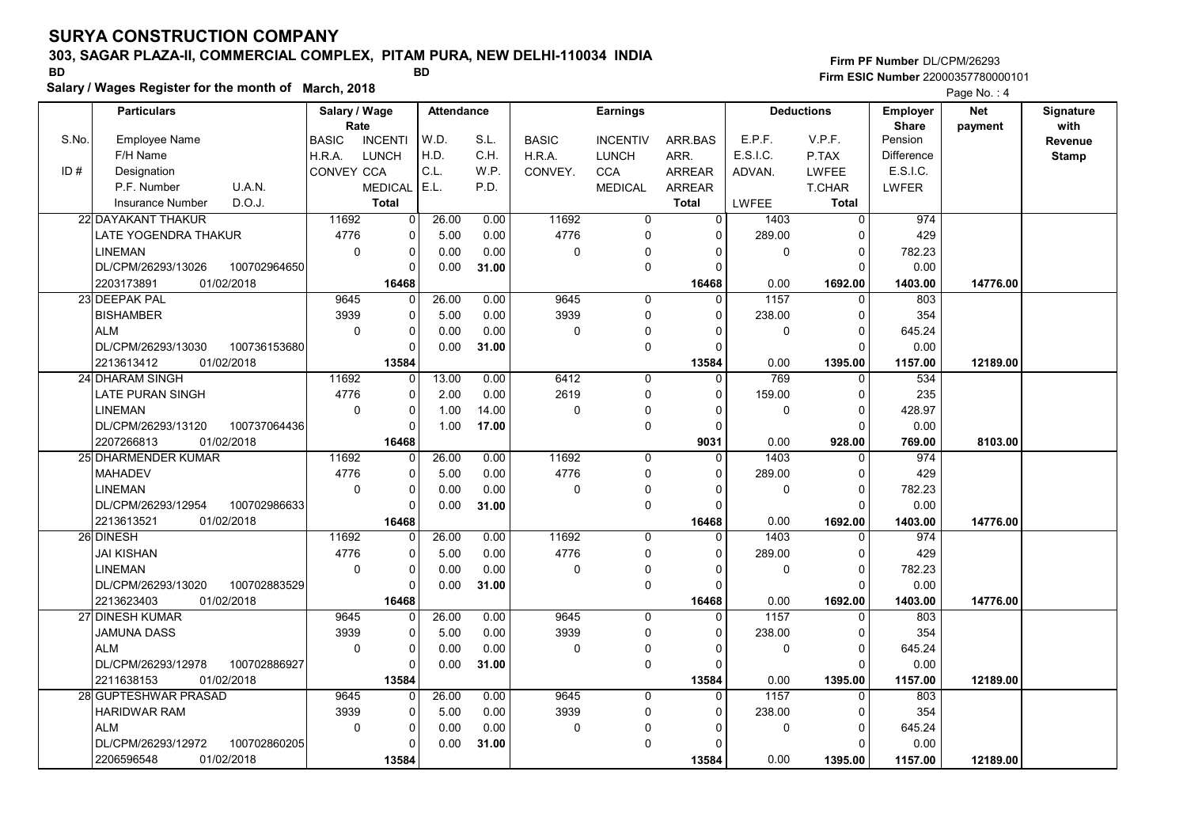# 303, SAGAR PLAZA-II, COMMERCIAL COMPLEX, PITAM PURA, NEW DELHI-110034 INDIA

Salary / Wages Register for the month of March, 2018

### Firm PF Number DL/CPM/26293 Firm ESIC Number <sup>22000357780000101</sup> BD BD

|       | <b>Particulars</b>                             |              | Salary / Wage        |                                | <b>Attendance</b> |       |              | <b>Earnings</b>  |                               |              | <b>Deductions</b>             | <b>Employer</b>         | <b>Net</b> | Signature       |
|-------|------------------------------------------------|--------------|----------------------|--------------------------------|-------------------|-------|--------------|------------------|-------------------------------|--------------|-------------------------------|-------------------------|------------|-----------------|
| S.No. | <b>Employee Name</b>                           |              | Rate<br><b>BASIC</b> | <b>INCENTI</b>                 | W.D.              | S.L.  | <b>BASIC</b> | <b>INCENTIV</b>  | ARR.BAS                       | E.P.F.       | V.P.F.                        | <b>Share</b><br>Pension | payment    | with<br>Revenue |
|       | F/H Name                                       |              | H.R.A.               | <b>LUNCH</b>                   | H.D.              | C.H.  | H.R.A.       | <b>LUNCH</b>     | ARR.                          | E.S.I.C.     | P.TAX                         | <b>Difference</b>       |            | <b>Stamp</b>    |
| ID#   | Designation                                    |              | CONVEY CCA           |                                | C.L.              | W.P.  | CONVEY.      | <b>CCA</b>       | ARREAR                        |              | <b>LWFEE</b>                  | E.S.I.C.                |            |                 |
|       | P.F. Number                                    | U.A.N.       |                      |                                | E.L.              | P.D.  |              |                  |                               | ADVAN.       |                               | LWFER                   |            |                 |
|       | <b>Insurance Number</b>                        | D.O.J.       |                      | <b>MEDICAL</b><br><b>Total</b> |                   |       |              | <b>MEDICAL</b>   | <b>ARREAR</b><br><b>Total</b> | <b>LWFEE</b> | <b>T.CHAR</b><br><b>Total</b> |                         |            |                 |
|       | 22 DAYAKANT THAKUR                             |              | 11692                | $\mathbf 0$                    | 26.00             | 0.00  | 11692        | $\mathbf 0$      | $\overline{0}$                | 1403         | $\overline{0}$                | 974                     |            |                 |
|       |                                                |              |                      | 0                              |                   |       |              | $\Omega$         | $\Omega$                      |              | $\Omega$                      |                         |            |                 |
|       | LATE YOGENDRA THAKUR                           |              | 4776                 |                                | 5.00              | 0.00  | 4776         |                  |                               | 289.00       |                               | 429                     |            |                 |
|       | <b>LINEMAN</b><br>DL/CPM/26293/13026           | 100702964650 | $\mathbf 0$          | $\mathbf 0$<br>$\Omega$        | 0.00              | 0.00  | $\mathbf 0$  | 0<br>$\mathbf 0$ | $\Omega$<br>$\Omega$          | 0            | $\mathbf 0$<br>$\Omega$       | 782.23<br>0.00          |            |                 |
|       |                                                |              |                      |                                | 0.00              | 31.00 |              |                  |                               |              |                               |                         |            |                 |
|       | 2203173891<br>01/02/2018<br>23 DEEPAK PAL      |              | 9645                 | 16468<br>$\Omega$              | 26.00             | 0.00  | 9645         | $\mathbf 0$      | 16468<br>0                    | 0.00<br>1157 | 1692.00<br>$\mathbf 0$        | 1403.00<br>803          | 14776.00   |                 |
|       | <b>BISHAMBER</b>                               |              | 3939                 | $\mathbf 0$                    |                   | 0.00  | 3939         | $\mathbf 0$      | $\Omega$                      | 238.00       | $\Omega$                      | 354                     |            |                 |
|       |                                                |              | $\Omega$             | $\mathbf 0$                    | 5.00              |       | $\mathbf 0$  |                  | $\Omega$                      |              | $\Omega$                      |                         |            |                 |
|       | <b>ALM</b>                                     |              |                      | $\Omega$                       | 0.00              | 0.00  |              | 0                | $\Omega$                      | 0            | $\Omega$                      | 645.24                  |            |                 |
|       | DL/CPM/26293/13030<br>01/02/2018<br>2213613412 | 100736153680 |                      | 13584                          | 0.00              | 31.00 |              | $\mathbf 0$      | 13584                         | 0.00         | 1395.00                       | 0.00<br>1157.00         | 12189.00   |                 |
|       | 24 DHARAM SINGH                                |              | 11692                | $\mathbf 0$                    | 13.00             | 0.00  | 6412         | $\mathbf 0$      | $\Omega$                      | 769          | $\Omega$                      | 534                     |            |                 |
|       | LATE PURAN SINGH                               |              | 4776                 | 0                              | 2.00              | 0.00  | 2619         | $\mathbf 0$      | $\Omega$                      | 159.00       | $\Omega$                      | 235                     |            |                 |
|       | <b>LINEMAN</b>                                 |              | $\Omega$             | $\mathbf 0$                    | 1.00              | 14.00 | $\mathbf 0$  | $\mathbf{0}$     | $\Omega$                      | 0            | $\Omega$                      | 428.97                  |            |                 |
|       | DL/CPM/26293/13120                             | 100737064436 |                      | $\mathbf 0$                    | 1.00              | 17.00 |              | $\mathbf 0$      | $\mathbf 0$                   |              | $\Omega$                      | 0.00                    |            |                 |
|       | 01/02/2018<br>2207266813                       |              |                      | 16468                          |                   |       |              |                  | 9031                          | 0.00         | 928.00                        | 769.00                  | 8103.00    |                 |
|       | 25 DHARMENDER KUMAR                            |              | 11692                | $\mathbf 0$                    | 26.00             | 0.00  | 11692        | $\mathbf 0$      | $\Omega$                      | 1403         | $\mathbf 0$                   | 974                     |            |                 |
|       | <b>MAHADEV</b>                                 |              | 4776                 | $\Omega$                       | 5.00              | 0.00  | 4776         | $\Omega$         | $\Omega$                      | 289.00       | $\Omega$                      | 429                     |            |                 |
|       | <b>LINEMAN</b>                                 |              | $\Omega$             | $\mathbf 0$                    | 0.00              | 0.00  | $\mathbf 0$  | 0                | $\Omega$                      | $\mathbf 0$  | $\mathbf 0$                   | 782.23                  |            |                 |
|       | DL/CPM/26293/12954                             | 100702986633 |                      | 0                              | 0.00              | 31.00 |              | $\mathbf 0$      | $\Omega$                      |              | $\Omega$                      | 0.00                    |            |                 |
|       | 01/02/2018<br>2213613521                       |              |                      | 16468                          |                   |       |              |                  | 16468                         | 0.00         | 1692.00                       | 1403.00                 | 14776.00   |                 |
|       | 26 DINESH                                      |              | 11692                | $\Omega$                       | 26.00             | 0.00  | 11692        | $\Omega$         | $\Omega$                      | 1403         | $\Omega$                      | 974                     |            |                 |
|       | <b>JAI KISHAN</b>                              |              | 4776                 | $\mathbf 0$                    | 5.00              | 0.00  | 4776         | $\Omega$         | $\Omega$                      | 289.00       | $\Omega$                      | 429                     |            |                 |
|       | <b>LINEMAN</b>                                 |              | $\mathbf 0$          | $\mathbf 0$                    | 0.00              | 0.00  | $\pmb{0}$    | $\Omega$         | $\Omega$                      | 0            | $\mathbf 0$                   | 782.23                  |            |                 |
|       | DL/CPM/26293/13020                             | 100702883529 |                      | $\Omega$                       | 0.00              | 31.00 |              | $\mathbf 0$      | $\Omega$                      |              | $\Omega$                      | 0.00                    |            |                 |
|       | 2213623403<br>01/02/2018                       |              |                      | 16468                          |                   |       |              |                  | 16468                         | 0.00         | 1692.00                       | 1403.00                 | 14776.00   |                 |
|       | 27 DINESH KUMAR                                |              | 9645                 | $\Omega$                       | 26.00             | 0.00  | 9645         | $\mathbf 0$      | $\Omega$                      | 1157         | $\Omega$                      | 803                     |            |                 |
|       | JAMUNA DASS                                    |              | 3939                 | $\mathbf 0$                    | 5.00              | 0.00  | 3939         | $\mathbf 0$      | $\Omega$                      | 238.00       | $\mathbf 0$                   | 354                     |            |                 |
|       | <b>ALM</b>                                     |              | $\mathbf 0$          | $\mathbf 0$                    | 0.00              | 0.00  | 0            | $\mathbf{0}$     | $\Omega$                      | 0            | $\Omega$                      | 645.24                  |            |                 |
|       | DL/CPM/26293/12978                             | 100702886927 |                      | O                              | 0.00              | 31.00 |              | $\mathbf 0$      | $\Omega$                      |              | $\Omega$                      | 0.00                    |            |                 |
|       | 01/02/2018<br>2211638153                       |              |                      | 13584                          |                   |       |              |                  | 13584                         | 0.00         | 1395.00                       | 1157.00                 | 12189.00   |                 |
|       | 28 GUPTESHWAR PRASAD                           |              | 9645                 | $\mathbf 0$                    | 26.00             | 0.00  | 9645         | $\mathbf 0$      | $\mathbf{0}$                  | 1157         | $\mathbf 0$                   | 803                     |            |                 |
|       | <b>HARIDWAR RAM</b>                            |              | 3939                 | $\mathbf 0$                    | 5.00              | 0.00  | 3939         | 0                | $\Omega$                      | 238.00       | $\Omega$                      | 354                     |            |                 |
|       | <b>ALM</b>                                     |              | $\mathbf 0$          | $\mathbf 0$                    | 0.00              | 0.00  | 0            | 0                | $\Omega$                      | 0            | $\Omega$                      | 645.24                  |            |                 |
|       | DL/CPM/26293/12972                             | 100702860205 |                      | $\Omega$                       | 0.00              | 31.00 |              | $\mathbf 0$      | O                             |              | $\Omega$                      | 0.00                    |            |                 |
|       | 2206596548<br>01/02/2018                       |              |                      | 13584                          |                   |       |              |                  | 13584                         | 0.00         | 1395.00                       | 1157.00                 | 12189.00   |                 |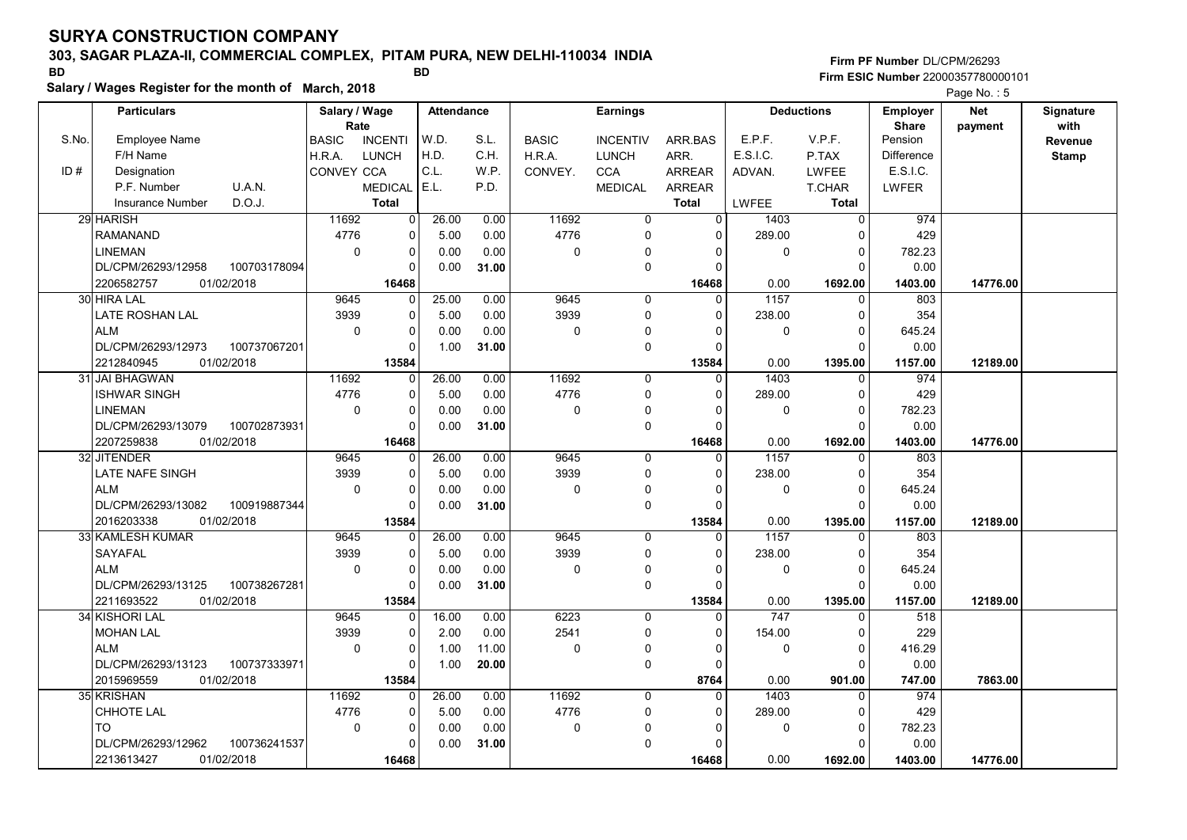# 303, SAGAR PLAZA-II, COMMERCIAL COMPLEX, PITAM PURA, NEW DELHI-110034 INDIA

Salary / Wages Register for the month of March, 2018

### Firm PF Number DL/CPM/26293 Firm ESIC Number <sup>22000357780000101</sup> BD BD

|       | <b>Particulars</b>      |              | Salary / Wage        |                | <b>Attendance</b> |       |              | <b>Earnings</b> |                |             | <b>Deductions</b> | <b>Employer</b>         | <b>Net</b> | Signature       |
|-------|-------------------------|--------------|----------------------|----------------|-------------------|-------|--------------|-----------------|----------------|-------------|-------------------|-------------------------|------------|-----------------|
| S.No. | <b>Employee Name</b>    |              | Rate<br><b>BASIC</b> | <b>INCENTI</b> | W.D.              | S.L.  | <b>BASIC</b> | <b>INCENTIV</b> | ARR.BAS        | E.P.F.      | V.P.F.            | <b>Share</b><br>Pension | payment    | with<br>Revenue |
|       | F/H Name                |              | H.R.A.               | <b>LUNCH</b>   | H.D.              | C.H.  | H.R.A.       | <b>LUNCH</b>    | ARR.           | E.S.I.C.    | P.TAX             | <b>Difference</b>       |            | <b>Stamp</b>    |
| ID#   | Designation             |              | CONVEY CCA           |                | C.L.              | W.P.  | CONVEY.      | <b>CCA</b>      | ARREAR         | ADVAN.      | <b>LWFEE</b>      | E.S.I.C.                |            |                 |
|       | P.F. Number             | U.A.N.       |                      | <b>MEDICAL</b> | E.L.              | P.D.  |              | <b>MEDICAL</b>  | <b>ARREAR</b>  |             | <b>T.CHAR</b>     | LWFER                   |            |                 |
|       | <b>Insurance Number</b> | D.O.J.       |                      | <b>Total</b>   |                   |       |              |                 | <b>Total</b>   | LWFEE       | <b>Total</b>      |                         |            |                 |
|       | 29 HARISH               |              | 11692                | $\mathbf 0$    | 26.00             | 0.00  | 11692        | $\mathbf 0$     | $\overline{0}$ | 1403        | $\overline{0}$    | 974                     |            |                 |
|       | <b>RAMANAND</b>         |              | 4776                 | 0              | 5.00              | 0.00  | 4776         | $\Omega$        | $\Omega$       | 289.00      | $\Omega$          | 429                     |            |                 |
|       | <b>LINEMAN</b>          |              | $\mathbf 0$          | $\mathbf 0$    | 0.00              | 0.00  | $\mathbf 0$  | 0               | $\Omega$       | 0           | $\mathbf 0$       | 782.23                  |            |                 |
|       | DL/CPM/26293/12958      | 100703178094 |                      | $\Omega$       | 0.00              | 31.00 |              | $\mathbf 0$     | $\Omega$       |             | $\Omega$          | 0.00                    |            |                 |
|       | 2206582757              | 01/02/2018   |                      | 16468          |                   |       |              |                 | 16468          | 0.00        | 1692.00           | 1403.00                 | 14776.00   |                 |
|       | 30 HIRA LAL             |              | 9645                 | $\Omega$       | 25.00             | 0.00  | 9645         | $\mathbf 0$     | 0              | 1157        | $\mathbf 0$       | 803                     |            |                 |
|       | LATE ROSHAN LAL         |              | 3939                 | $\mathbf 0$    | 5.00              | 0.00  | 3939         | $\mathbf 0$     | $\Omega$       | 238.00      | $\Omega$          | 354                     |            |                 |
|       | <b>ALM</b>              |              | $\Omega$             | $\mathbf 0$    | 0.00              | 0.00  | $\mathbf 0$  | 0               | O              | 0           | $\Omega$          | 645.24                  |            |                 |
|       | DL/CPM/26293/12973      | 100737067201 |                      | $\mathbf 0$    | 1.00              | 31.00 |              | $\mathbf 0$     | $\Omega$       |             | $\Omega$          | 0.00                    |            |                 |
|       | 2212840945              | 01/02/2018   |                      | 13584          |                   |       |              |                 | 13584          | 0.00        | 1395.00           | 1157.00                 | 12189.00   |                 |
|       | 31 JAI BHAGWAN          |              | 11692                | $\mathbf 0$    | 26.00             | 0.00  | 11692        | $\mathbf 0$     | $\Omega$       | 1403        | $\Omega$          | 974                     |            |                 |
|       | ISHWAR SINGH            |              | 4776                 | 0              | 5.00              | 0.00  | 4776         | $\mathbf 0$     | $\Omega$       | 289.00      | $\Omega$          | 429                     |            |                 |
|       | <b>LINEMAN</b>          |              | $\mathbf 0$          | $\mathbf 0$    | 0.00              | 0.00  | $\mathbf 0$  | $\mathbf 0$     | $\Omega$       | 0           | $\mathbf 0$       | 782.23                  |            |                 |
|       | DL/CPM/26293/13079      | 100702873931 |                      | $\mathbf 0$    | 0.00              | 31.00 |              | $\mathbf 0$     | $\Omega$       |             | $\Omega$          | 0.00                    |            |                 |
|       | 2207259838              | 01/02/2018   |                      | 16468          |                   |       |              |                 | 16468          | 0.00        | 1692.00           | 1403.00                 | 14776.00   |                 |
|       | 32 JITENDER             |              | 9645                 | $\mathbf 0$    | 26.00             | 0.00  | 9645         | $\mathbf 0$     | $\mathbf{0}$   | 1157        | $\mathbf 0$       | 803                     |            |                 |
|       | <b>LATE NAFE SINGH</b>  |              | 3939                 | $\Omega$       | 5.00              | 0.00  | 3939         | $\mathbf 0$     | $\Omega$       | 238.00      | $\Omega$          | 354                     |            |                 |
|       | <b>ALM</b>              |              | $\Omega$             | $\mathbf 0$    | 0.00              | 0.00  | $\mathbf 0$  | 0               | $\Omega$       | $\mathbf 0$ | $\mathbf 0$       | 645.24                  |            |                 |
|       | DL/CPM/26293/13082      | 100919887344 |                      | 0              | 0.00              | 31.00 |              | $\mathbf 0$     | $\Omega$       |             | $\Omega$          | 0.00                    |            |                 |
|       | 2016203338              | 01/02/2018   |                      | 13584          |                   |       |              |                 | 13584          | 0.00        | 1395.00           | 1157.00                 | 12189.00   |                 |
|       | 33 KAMLESH KUMAR        |              | 9645                 | $\Omega$       | 26.00             | 0.00  | 9645         | $\Omega$        | $\Omega$       | 1157        | $\Omega$          | 803                     |            |                 |
|       | SAYAFAL                 |              | 3939                 | $\mathbf 0$    | 5.00              | 0.00  | 3939         | $\Omega$        | $\mathbf{0}$   | 238.00      | $\Omega$          | 354                     |            |                 |
|       | <b>ALM</b>              |              | $\mathbf 0$          | 0              | 0.00              | 0.00  | $\pmb{0}$    | $\Omega$        | $\Omega$       | 0           | $\mathbf 0$       | 645.24                  |            |                 |
|       | DL/CPM/26293/13125      | 100738267281 |                      | $\Omega$       | 0.00              | 31.00 |              | $\mathbf 0$     | $\Omega$       |             | $\Omega$          | 0.00                    |            |                 |
|       | 2211693522              | 01/02/2018   |                      | 13584          |                   |       |              |                 | 13584          | 0.00        | 1395.00           | 1157.00                 | 12189.00   |                 |
|       | 34 KISHORI LAL          |              | 9645                 | $\Omega$       | 16.00             | 0.00  | 6223         | $\mathbf 0$     | $\Omega$       | 747         | $\Omega$          | 518                     |            |                 |
|       | <b>MOHAN LAL</b>        |              | 3939                 | 0              | 2.00              | 0.00  | 2541         | $\mathbf 0$     | $\mathbf 0$    | 154.00      | $\mathbf 0$       | 229                     |            |                 |
|       | <b>ALM</b>              |              | $\mathbf 0$          | $\mathbf 0$    | 1.00              | 11.00 | 0            | $\Omega$        | $\Omega$       | 0           | $\Omega$          | 416.29                  |            |                 |
|       | DL/CPM/26293/13123      | 100737333971 |                      | 0              | 1.00              | 20.00 |              | $\mathbf 0$     | 0              |             | $\Omega$          | 0.00                    |            |                 |
|       | 2015969559              | 01/02/2018   |                      | 13584          |                   |       |              |                 | 8764           | 0.00        | 901.00            | 747.00                  | 7863.00    |                 |
|       | 35 KRISHAN              |              | 11692                | $\mathbf 0$    | 26.00             | 0.00  | 11692        | 0               | $\mathbf{0}$   | 1403        | $\mathbf 0$       | 974                     |            |                 |
|       | CHHOTE LAL              |              | 4776                 | $\mathbf 0$    | 5.00              | 0.00  | 4776         | 0               | $\Omega$       | 289.00      | $\Omega$          | 429                     |            |                 |
|       | <b>TO</b>               |              | $\mathbf 0$          | $\mathbf 0$    | 0.00              | 0.00  | 0            | 0               | $\Omega$       | 0           | $\Omega$          | 782.23                  |            |                 |
|       | DL/CPM/26293/12962      | 100736241537 |                      | $\Omega$       | 0.00              | 31.00 |              | $\mathbf 0$     | $\Omega$       |             | $\Omega$          | 0.00                    |            |                 |
|       | 2213613427              | 01/02/2018   |                      | 16468          |                   |       |              |                 | 16468          | 0.00        | 1692.00           | 1403.00                 | 14776.00   |                 |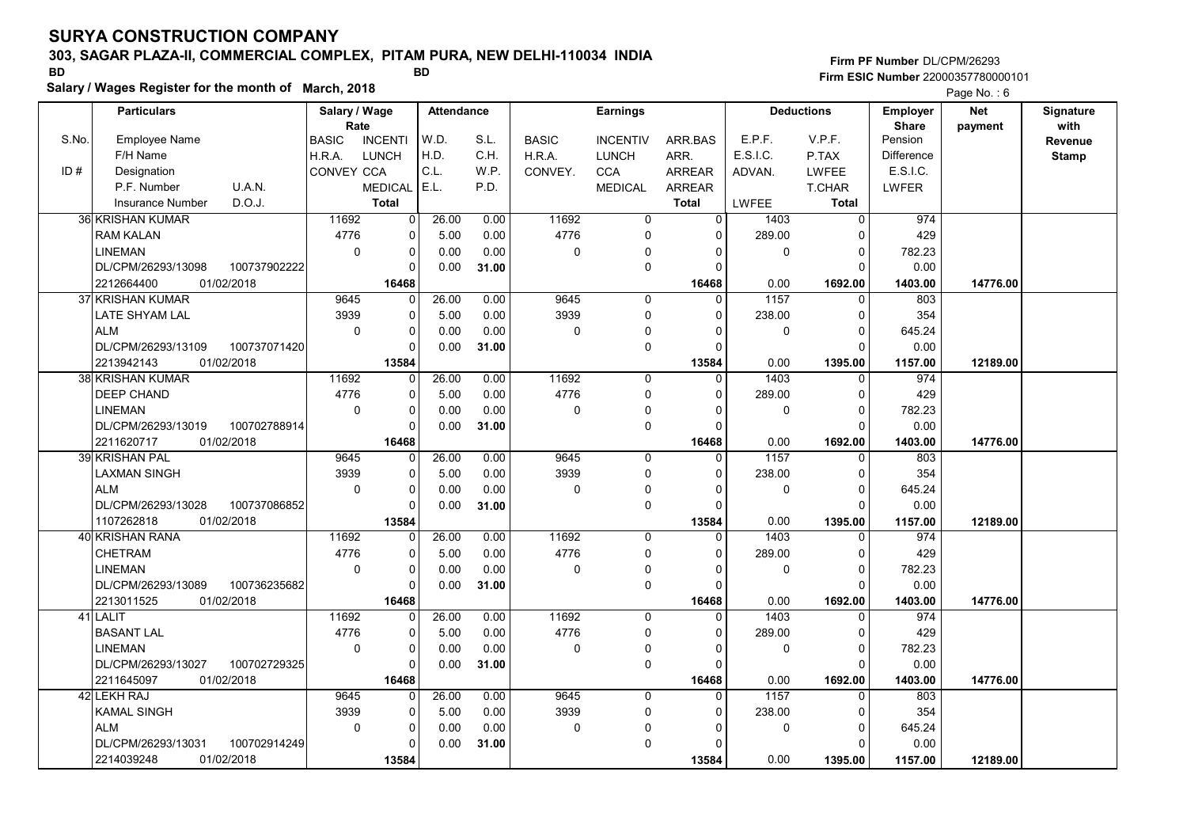# 303, SAGAR PLAZA-II, COMMERCIAL COMPLEX, PITAM PURA, NEW DELHI-110034 INDIA

Salary / Wages Register for the month of March, 2018

### Firm PF Number DL/CPM/26293 Firm ESIC Number <sup>22000357780000101</sup> BD BD

|       | <b>Particulars</b>                |              | Salary / Wage        |                | <b>Attendance</b> |       |                     | <b>Earnings</b> |                |              | <b>Deductions</b> | Employer                | <b>Net</b> | Signature       |
|-------|-----------------------------------|--------------|----------------------|----------------|-------------------|-------|---------------------|-----------------|----------------|--------------|-------------------|-------------------------|------------|-----------------|
| S.No. | Employee Name                     |              | Rate<br><b>BASIC</b> | <b>INCENTI</b> | W.D.              | S.L.  | <b>BASIC</b>        | <b>INCENTIV</b> | ARR.BAS        | E.P.F.       | V.P.F.            | <b>Share</b><br>Pension | payment    | with<br>Revenue |
|       | F/H Name                          |              | H.R.A.               | LUNCH          | H.D.              | C.H.  | H.R.A.              | <b>LUNCH</b>    | ARR.           | E.S.I.C.     | P.TAX             | <b>Difference</b>       |            | <b>Stamp</b>    |
| ID#   | Designation                       |              | <b>CONVEY CCA</b>    |                | C.L.              | W.P.  | CONVEY.             | <b>CCA</b>      | <b>ARREAR</b>  | ADVAN.       | <b>LWFEE</b>      | E.S.I.C.                |            |                 |
|       | P.F. Number<br>U.A.N.             |              |                      | <b>MEDICAL</b> | E.L.              | P.D.  |                     | <b>MEDICAL</b>  | ARREAR         |              | <b>T.CHAR</b>     | LWFER                   |            |                 |
|       | D.O.J.<br><b>Insurance Number</b> |              |                      | <b>Total</b>   |                   |       |                     |                 | <b>Total</b>   | <b>LWFEE</b> | Total             |                         |            |                 |
|       | <b>36 KRISHAN KUMAR</b>           |              | 11692                | $\mathbf 0$    | 26.00             | 0.00  | 11692               | 0               | $\overline{0}$ | 1403         | $\mathbf 0$       | 974                     |            |                 |
|       | <b>RAM KALAN</b>                  |              | 4776                 | 0              | 5.00              | 0.00  | 4776                | 0               | $\mathbf{0}$   | 289.00       | $\Omega$          | 429                     |            |                 |
|       | <b>LINEMAN</b>                    |              | $\Omega$             | $\pmb{0}$      | 0.00              | 0.00  | $\mathsf{O}\xspace$ | $\Omega$        | $\Omega$       | 0            | $\Omega$          | 782.23                  |            |                 |
|       | DL/CPM/26293/13098                | 100737902222 |                      | $\Omega$       | 0.00              | 31.00 |                     | $\mathbf 0$     | $\Omega$       |              | $\Omega$          | 0.00                    |            |                 |
|       | 01/02/2018<br>2212664400          |              |                      | 16468          |                   |       |                     |                 | 16468          | 0.00         | 1692.00           | 1403.00                 | 14776.00   |                 |
|       | 37 KRISHAN KUMAR                  |              | 9645                 | $\mathbf 0$    | 26.00             | 0.00  | 9645                | 0               | $\mathbf{0}$   | 1157         | $\mathbf 0$       | 803                     |            |                 |
|       | LATE SHYAM LAL                    |              | 3939                 | $\mathbf 0$    | 5.00              | 0.00  | 3939                | $\mathbf 0$     | $\Omega$       | 238.00       | $\Omega$          | 354                     |            |                 |
|       | <b>ALM</b>                        |              | $\mathbf 0$          | 0              | 0.00              | 0.00  | $\mathbf 0$         | $\mathbf{0}$    | $\Omega$       | $\mathbf 0$  | $\Omega$          | 645.24                  |            |                 |
|       | DL/CPM/26293/13109                | 100737071420 |                      | $\Omega$       | 0.00              | 31.00 |                     | $\mathbf 0$     | $\Omega$       |              | $\Omega$          | 0.00                    |            |                 |
|       | 01/02/2018<br>2213942143          |              |                      | 13584          |                   |       |                     |                 | 13584          | 0.00         | 1395.00           | 1157.00                 | 12189.00   |                 |
|       | 38 KRISHAN KUMAR                  |              | 11692                | $\mathbf 0$    | 26.00             | 0.00  | 11692               | $\mathbf 0$     | $\mathbf 0$    | 1403         | $\mathbf 0$       | 974                     |            |                 |
|       | <b>DEEP CHAND</b>                 |              | 4776                 | $\mathbf 0$    | 5.00              | 0.00  | 4776                | $\mathbf 0$     | $\Omega$       | 289.00       | $\mathbf 0$       | 429                     |            |                 |
|       | <b>LINEMAN</b>                    |              | $\mathbf 0$          | $\mathbf 0$    | 0.00              | 0.00  | 0                   | 0               | $\Omega$       | 0            | $\mathbf 0$       | 782.23                  |            |                 |
|       | DL/CPM/26293/13019                | 100702788914 |                      | $\Omega$       | 0.00              | 31.00 |                     | $\mathbf 0$     | $\Omega$       |              | $\Omega$          | 0.00                    |            |                 |
|       | 2211620717<br>01/02/2018          |              |                      | 16468          |                   |       |                     |                 | 16468          | 0.00         | 1692.00           | 1403.00                 | 14776.00   |                 |
|       | <b>39 KRISHAN PAL</b>             |              | 9645                 | $\mathbf 0$    | 26.00             | 0.00  | 9645                | $\mathbf 0$     | $\Omega$       | 1157         | $\mathbf 0$       | 803                     |            |                 |
|       | <b>LAXMAN SINGH</b>               |              | 3939                 | $\mathbf 0$    | 5.00              | 0.00  | 3939                | 0               | $\Omega$       | 238.00       | $\Omega$          | 354                     |            |                 |
|       | <b>ALM</b>                        |              | $\Omega$             | $\Omega$       | 0.00              | 0.00  | $\mathbf 0$         | $\mathbf 0$     | $\Omega$       | 0            | $\Omega$          | 645.24                  |            |                 |
|       | DL/CPM/26293/13028                | 100737086852 |                      | $\mathbf 0$    | 0.00              | 31.00 |                     | $\mathbf 0$     | $\Omega$       |              | $\Omega$          | 0.00                    |            |                 |
|       | 1107262818<br>01/02/2018          |              |                      | 13584          |                   |       |                     |                 | 13584          | 0.00         | 1395.00           | 1157.00                 | 12189.00   |                 |
|       | 40 KRISHAN RANA                   |              | 11692                | $\Omega$       | 26.00             | 0.00  | 11692               | $\Omega$        | $\Omega$       | 1403         | $\Omega$          | 974                     |            |                 |
|       | <b>CHETRAM</b>                    |              | 4776                 | $\mathbf 0$    | 5.00              | 0.00  | 4776                | $\mathbf 0$     | $\Omega$       | 289.00       | $\Omega$          | 429                     |            |                 |
|       | <b>LINEMAN</b>                    |              | $\mathbf 0$          | $\mathbf 0$    | 0.00              | 0.00  | $\mathbf 0$         | 0               | 0              | 0            | $\mathbf 0$       | 782.23                  |            |                 |
|       | DL/CPM/26293/13089                | 100736235682 |                      | $\mathbf 0$    | 0.00              | 31.00 |                     | $\mathbf 0$     | $\mathbf 0$    |              | $\Omega$          | 0.00                    |            |                 |
|       | 01/02/2018<br>2213011525          |              |                      | 16468          |                   |       |                     |                 | 16468          | 0.00         | 1692.00           | 1403.00                 | 14776.00   |                 |
|       | 41 LALIT                          |              | 11692                | $\mathbf 0$    | 26.00             | 0.00  | 11692               | $\Omega$        | $\mathbf{0}$   | 1403         | $\Omega$          | 974                     |            |                 |
|       | <b>BASANT LAL</b>                 |              | 4776                 | $\mathbf 0$    | 5.00              | 0.00  | 4776                | 0               | $\Omega$       | 289.00       | $\Omega$          | 429                     |            |                 |
|       | <b>LINEMAN</b>                    |              | $\Omega$             | 0              | 0.00              | 0.00  | 0                   | 0               | $\Omega$       | 0            | $\Omega$          | 782.23                  |            |                 |
|       | DL/CPM/26293/13027                | 100702729325 |                      | $\Omega$       | 0.00              | 31.00 |                     | $\mathbf 0$     | $\Omega$       |              | $\Omega$          | 0.00                    |            |                 |
|       | 01/02/2018<br>2211645097          |              |                      | 16468          |                   |       |                     |                 | 16468          | 0.00         | 1692.00           | 1403.00                 | 14776.00   |                 |
|       | 42 LEKH RAJ                       |              | 9645                 | $\Omega$       | 26.00             | 0.00  | 9645                | $\mathbf 0$     | $\Omega$       | 1157         | $\mathbf 0$       | 803                     |            |                 |
|       | <b>KAMAL SINGH</b>                |              | 3939                 | $\mathbf 0$    | 5.00              | 0.00  | 3939                | $\mathbf 0$     | $\mathbf{0}$   | 238.00       | $\Omega$          | 354                     |            |                 |
|       | <b>ALM</b>                        |              | $\mathbf 0$          | $\pmb{0}$      | 0.00              | 0.00  | 0                   | $\mathbf{0}$    | $\Omega$       | 0            | $\mathbf 0$       | 645.24                  |            |                 |
|       | DL/CPM/26293/13031                | 100702914249 |                      | $\Omega$       | 0.00              | 31.00 |                     | $\Omega$        | $\Omega$       |              | $\Omega$          | 0.00                    |            |                 |
|       | 2214039248<br>01/02/2018          |              |                      | 13584          |                   |       |                     |                 | 13584          | 0.00         | 1395.00           | 1157.00                 | 12189.00   |                 |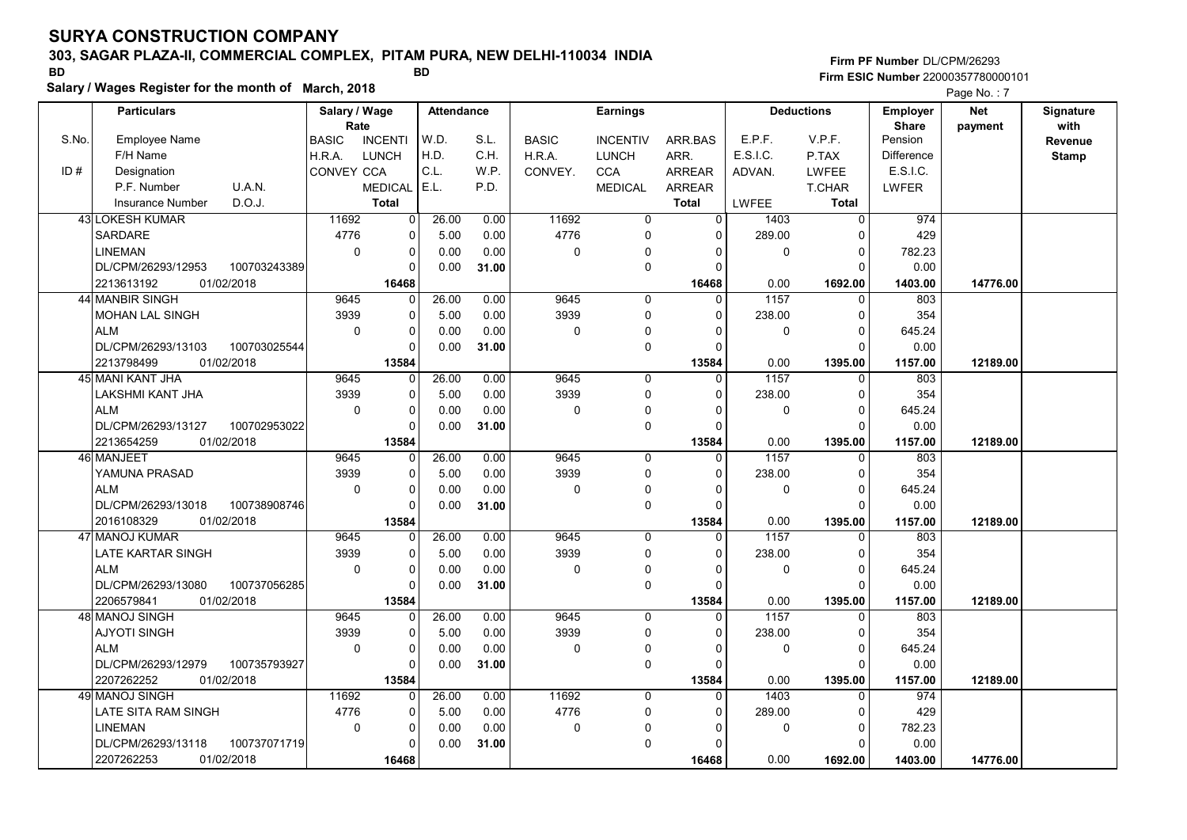# 303, SAGAR PLAZA-II, COMMERCIAL COMPLEX, PITAM PURA, NEW DELHI-110034 INDIA

Salary / Wages Register for the month of March, 2018

### Firm PF Number DL/CPM/26293 Firm ESIC Number <sup>22000357780000101</sup> BD BD

|       | <b>Particulars</b>                 | Salary / Wage        |                | Attendance |       |              | <b>Earnings</b> |               |              | <b>Deductions</b> | <b>Employer</b>         | <b>Net</b> | Signature<br>with |
|-------|------------------------------------|----------------------|----------------|------------|-------|--------------|-----------------|---------------|--------------|-------------------|-------------------------|------------|-------------------|
| S.No. | Employee Name                      | Rate<br><b>BASIC</b> | <b>INCENTI</b> | W.D.       | S.L.  | <b>BASIC</b> | <b>INCENTIV</b> | ARR.BAS       | E.P.F.       | V.P.F.            | <b>Share</b><br>Pension | payment    | Revenue           |
|       | F/H Name                           | H.R.A.               | LUNCH          | H.D.       | C.H.  | H.R.A.       | <b>LUNCH</b>    | ARR.          | E.S.I.C.     | P.TAX             | <b>Difference</b>       |            | <b>Stamp</b>      |
| ID#   | Designation                        | CONVEY CCA           |                | C.L.       | W.P.  | CONVEY.      | <b>CCA</b>      | <b>ARREAR</b> | ADVAN.       | LWFEE             | E.S.I.C.                |            |                   |
|       | P.F. Number<br><b>U.A.N.</b>       |                      | <b>MEDICAL</b> | E.L.       | P.D.  |              | <b>MEDICAL</b>  | <b>ARREAR</b> |              | T.CHAR            | <b>LWFER</b>            |            |                   |
|       | D.O.J.<br><b>Insurance Number</b>  |                      | <b>Total</b>   |            |       |              |                 | <b>Total</b>  | <b>LWFEE</b> | Total             |                         |            |                   |
|       | <b>43 LOKESH KUMAR</b>             | 11692                | $\Omega$       | 26.00      | 0.00  | 11692        | $\mathbf 0$     | $\Omega$      | 1403         | $\mathbf{0}$      | 974                     |            |                   |
|       | <b>SARDARE</b>                     | 4776                 | 0              | 5.00       | 0.00  | 4776         | 0               | $\Omega$      | 289.00       | $\Omega$          | 429                     |            |                   |
|       | <b>LINEMAN</b>                     | $\Omega$             | $\Omega$       | 0.00       | 0.00  | 0            | $\pmb{0}$       | $\Omega$      | $\Omega$     | $\Omega$          | 782.23                  |            |                   |
|       | DL/CPM/26293/12953<br>100703243389 |                      | $\Omega$       | 0.00       | 31.00 |              | $\mathbf 0$     | $\Omega$      |              | $\Omega$          | 0.00                    |            |                   |
|       | 2213613192<br>01/02/2018           |                      | 16468          |            |       |              |                 | 16468         | 0.00         | 1692.00           | 1403.00                 | 14776.00   |                   |
|       | 44 MANBIR SINGH                    | 9645                 | $\Omega$       | 26.00      | 0.00  | 9645         | 0               | $\Omega$      | 1157         | 0                 | 803                     |            |                   |
|       | <b>MOHAN LAL SINGH</b>             | 3939                 | $\Omega$       | 5.00       | 0.00  | 3939         | $\mathbf 0$     | $\Omega$      | 238.00       | $\Omega$          | 354                     |            |                   |
|       | <b>ALM</b>                         | $\mathbf 0$          | $\Omega$       | 0.00       | 0.00  | 0            | 0               | $\Omega$      | $\mathbf 0$  | $\Omega$          | 645.24                  |            |                   |
|       | DL/CPM/26293/13103<br>100703025544 |                      | $\Omega$       | 0.00       | 31.00 |              | 0               | $\Omega$      |              | $\Omega$          | 0.00                    |            |                   |
|       | 01/02/2018<br>2213798499           |                      | 13584          |            |       |              |                 | 13584         | 0.00         | 1395.00           | 1157.00                 | 12189.00   |                   |
|       | 45 MANI KANT JHA                   | 9645                 | $\mathbf 0$    | 26.00      | 0.00  | 9645         | $\mathbf 0$     | $\Omega$      | 1157         | $\Omega$          | 803                     |            |                   |
|       | LAKSHMI KANT JHA                   | 3939                 | $\Omega$       | 5.00       | 0.00  | 3939         | $\mathbf 0$     | $\Omega$      | 238.00       | $\Omega$          | 354                     |            |                   |
|       | <b>ALM</b>                         | 0                    | $\Omega$       | 0.00       | 0.00  | 0            | 0               | $\Omega$      | 0            | $\Omega$          | 645.24                  |            |                   |
|       | DL/CPM/26293/13127<br>100702953022 |                      | $\Omega$       | 0.00       | 31.00 |              | $\mathbf 0$     | $\Omega$      |              | $\Omega$          | 0.00                    |            |                   |
|       | 2213654259<br>01/02/2018           |                      | 13584          |            |       |              |                 | 13584         | 0.00         | 1395.00           | 1157.00                 | 12189.00   |                   |
|       | 46 MANJEET                         | 9645                 | $\Omega$       | 26.00      | 0.00  | 9645         | $\mathbf 0$     | 0             | 1157         | $\Omega$          | 803                     |            |                   |
|       | YAMUNA PRASAD                      | 3939                 | $\mathbf 0$    | 5.00       | 0.00  | 3939         | $\mathbf 0$     | $\Omega$      | 238.00       | $\Omega$          | 354                     |            |                   |
|       | <b>ALM</b>                         | $\Omega$             | $\Omega$       | 0.00       | 0.00  | $\Omega$     | $\mathbf 0$     | $\Omega$      | $\Omega$     | $\Omega$          | 645.24                  |            |                   |
|       | 100738908746<br>DL/CPM/26293/13018 |                      | $\Omega$       | 0.00       | 31.00 |              | 0               | $\Omega$      |              | $\Omega$          | 0.00                    |            |                   |
|       | 01/02/2018<br>2016108329           |                      | 13584          |            |       |              |                 | 13584         | 0.00         | 1395.00           | 1157.00                 | 12189.00   |                   |
|       | 47 MANOJ KUMAR                     | 9645                 | $\Omega$       | 26.00      | 0.00  | 9645         | $\mathbf 0$     | $\Omega$      | 1157         |                   | 803                     |            |                   |
|       | LATE KARTAR SINGH                  | 3939                 | $\Omega$       | 5.00       | 0.00  | 3939         | $\mathbf 0$     | $\Omega$      | 238.00       | $\Omega$          | 354                     |            |                   |
|       | <b>ALM</b>                         | $\mathbf 0$          | $\mathbf 0$    | 0.00       | 0.00  | 0            | 0               | $\Omega$      | $\mathbf 0$  | 0                 | 645.24                  |            |                   |
|       | DL/CPM/26293/13080<br>100737056285 |                      | $\Omega$       | 0.00       | 31.00 |              | $\mathbf 0$     | $\Omega$      |              | $\Omega$          | 0.00                    |            |                   |
|       | 2206579841<br>01/02/2018           |                      | 13584          |            |       |              |                 | 13584         | 0.00         | 1395.00           | 1157.00                 | 12189.00   |                   |
|       | 48 MANOJ SINGH                     | 9645                 | $\Omega$       | 26.00      | 0.00  | 9645         | $\mathbf{0}$    | $\Omega$      | 1157         | $\Omega$          | 803                     |            |                   |
|       | <b>AJYOTI SINGH</b>                | 3939                 | $\Omega$       | 5.00       | 0.00  | 3939         | 0               | $\Omega$      | 238.00       | $\Omega$          | 354                     |            |                   |
|       | <b>ALM</b>                         | $\Omega$             | $\Omega$       | 0.00       | 0.00  | 0            | 0               | $\Omega$      | 0            | $\Omega$          | 645.24                  |            |                   |
|       | DL/CPM/26293/12979<br>100735793927 |                      | $\Omega$       | 0.00       | 31.00 |              | $\mathbf 0$     | $\Omega$      |              | $\Omega$          | 0.00                    |            |                   |
|       | 2207262252<br>01/02/2018           |                      | 13584          |            |       |              |                 | 13584         | 0.00         | 1395.00           | 1157.00                 | 12189.00   |                   |
|       | 49 MANOJ SINGH                     | 11692                | $\Omega$       | 26.00      | 0.00  | 11692        | $\mathbf 0$     | $\Omega$      | 1403         | $\Omega$          | 974                     |            |                   |
|       | LATE SITA RAM SINGH                | 4776                 | $\Omega$       | 5.00       | 0.00  | 4776         | 0               | $\Omega$      | 289.00       | $\Omega$          | 429                     |            |                   |
|       | <b>LINEMAN</b>                     | 0                    | $\mathbf 0$    | 0.00       | 0.00  | 0            | $\mathbf 0$     | $\mathbf{0}$  | $\mathbf 0$  | $\mathbf 0$       | 782.23                  |            |                   |
|       | DL/CPM/26293/13118<br>100737071719 |                      | $\Omega$       | 0.00       | 31.00 |              | $\pmb{0}$       |               |              | $\Omega$          | 0.00                    |            |                   |
|       | 2207262253<br>01/02/2018           |                      | 16468          |            |       |              |                 | 16468         | 0.00         | 1692.00           | 1403.00                 | 14776.00   |                   |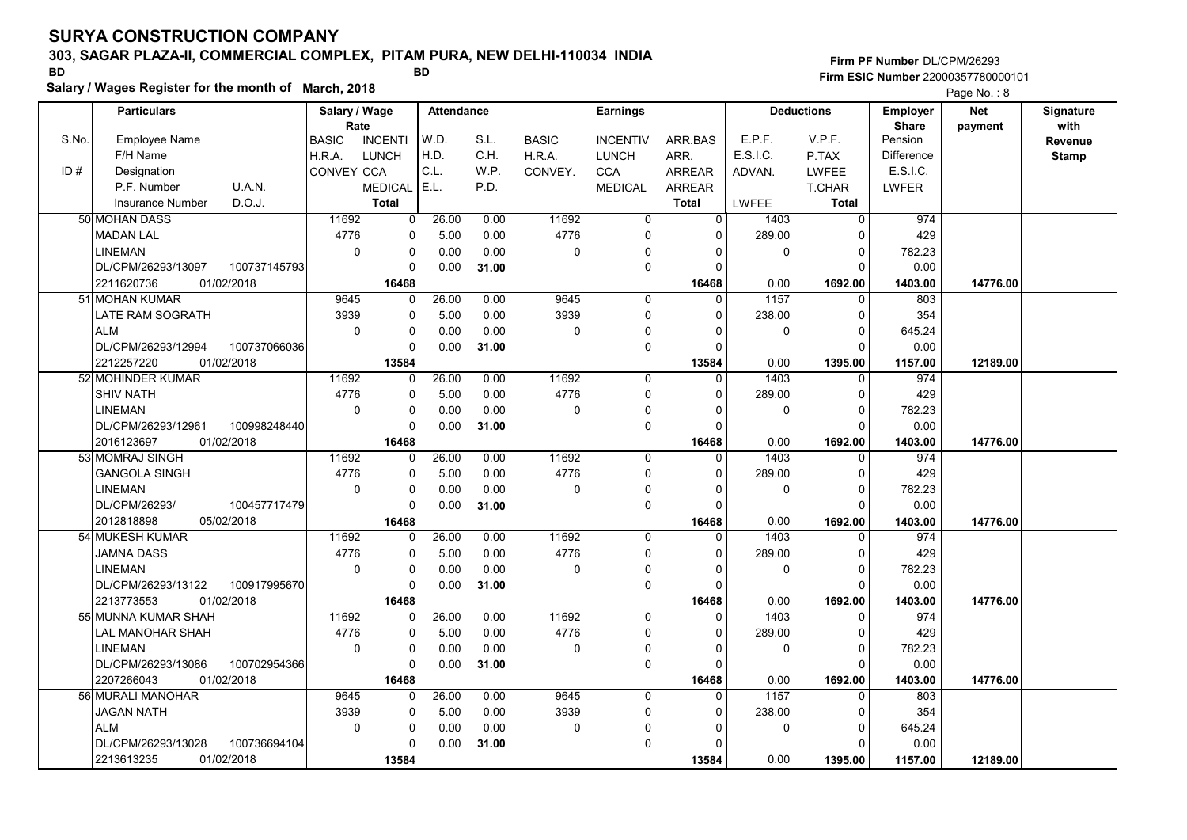# 303, SAGAR PLAZA-II, COMMERCIAL COMPLEX, PITAM PURA, NEW DELHI-110034 INDIA

Salary / Wages Register for the month of March, 2018

### Firm PF Number DL/CPM/26293 Firm ESIC Number <sup>22000357780000101</sup> BD BD

|       | <b>Particulars</b>                 | Salary / Wage<br>Rate |                | <b>Attendance</b> |       |              | <b>Earnings</b> |                |             | <b>Deductions</b> | <b>Employer</b>         | <b>Net</b> | Signature<br>with |
|-------|------------------------------------|-----------------------|----------------|-------------------|-------|--------------|-----------------|----------------|-------------|-------------------|-------------------------|------------|-------------------|
| S.No. | <b>Employee Name</b>               | <b>BASIC</b>          | <b>INCENTI</b> | W.D.              | S.L.  | <b>BASIC</b> | <b>INCENTIV</b> | ARR.BAS        | E.P.F.      | V.P.F.            | <b>Share</b><br>Pension | payment    | Revenue           |
|       | F/H Name                           | H.R.A.                | LUNCH          | H.D.              | C.H.  | H.R.A.       | <b>LUNCH</b>    | ARR.           | E.S.I.C.    | P.TAX             | <b>Difference</b>       |            | <b>Stamp</b>      |
| ID#   | Designation                        | CONVEY CCA            |                | C.L.              | W.P.  | CONVEY.      | <b>CCA</b>      | <b>ARREAR</b>  | ADVAN.      | <b>LWFEE</b>      | E.S.I.C.                |            |                   |
|       | P.F. Number<br>U.A.N.              |                       | <b>MEDICAL</b> | E.L.              | P.D.  |              | <b>MEDICAL</b>  | <b>ARREAR</b>  |             | <b>T.CHAR</b>     | LWFER                   |            |                   |
|       | D.O.J.<br><b>Insurance Number</b>  |                       | <b>Total</b>   |                   |       |              |                 | <b>Total</b>   | LWFEE       | Total             |                         |            |                   |
|       |                                    |                       |                |                   |       |              |                 | $\overline{0}$ |             |                   |                         |            |                   |
|       | 50 MOHAN DASS                      | 11692                 | $\mathbf 0$    | 26.00             | 0.00  | 11692        | 0               |                | 1403        | $\mathbf 0$       | 974                     |            |                   |
|       | <b>MADAN LAL</b>                   | 4776                  | 0              | 5.00              | 0.00  | 4776         | 0               | 0              | 289.00      | $\Omega$          | 429                     |            |                   |
|       | <b>LINEMAN</b>                     | $\Omega$              | $\mathbf 0$    | 0.00              | 0.00  | $\mathbf 0$  | $\mathbf{0}$    | $\Omega$       | $\mathbf 0$ | $\Omega$          | 782.23                  |            |                   |
|       | DL/CPM/26293/13097<br>100737145793 |                       | $\Omega$       | 0.00              | 31.00 |              | $\mathbf 0$     | $\Omega$       |             | $\Omega$          | 0.00                    |            |                   |
|       | 2211620736<br>01/02/2018           |                       | 16468          |                   |       |              |                 | 16468          | 0.00        | 1692.00           | 1403.00                 | 14776.00   |                   |
|       | 51 MOHAN KUMAR                     | 9645                  | $\Omega$       | 26.00             | 0.00  | 9645         | $\mathbf 0$     | $\Omega$       | 1157        | $\Omega$          | 803                     |            |                   |
|       | LATE RAM SOGRATH                   | 3939                  | $\mathbf 0$    | 5.00              | 0.00  | 3939         | $\Omega$        | $\Omega$       | 238.00      | $\Omega$          | 354                     |            |                   |
|       | <b>ALM</b>                         | $\mathbf 0$           | $\mathbf 0$    | 0.00              | 0.00  | 0            | $\mathbf 0$     | 0              | 0           | $\Omega$          | 645.24                  |            |                   |
|       | DL/CPM/26293/12994<br>100737066036 |                       | $\Omega$       | 0.00              | 31.00 |              | $\mathbf 0$     | $\Omega$       |             | $\Omega$          | 0.00                    |            |                   |
|       | 01/02/2018<br>2212257220           |                       | 13584          |                   |       |              |                 | 13584          | 0.00        | 1395.00           | 1157.00                 | 12189.00   |                   |
|       | 52 MOHINDER KUMAR                  | 11692                 | 0              | 26.00             | 0.00  | 11692        | 0               | $\mathbf 0$    | 1403        | 0                 | 974                     |            |                   |
|       | <b>SHIV NATH</b>                   | 4776                  | 0              | 5.00              | 0.00  | 4776         | 0               | $\Omega$       | 289.00      | $\Omega$          | 429                     |            |                   |
|       | <b>LINEMAN</b>                     | $\mathbf 0$           | $\mathbf 0$    | 0.00              | 0.00  | 0            | $\mathbf 0$     | $\Omega$       | 0           | $\Omega$          | 782.23                  |            |                   |
|       | DL/CPM/26293/12961<br>100998248440 |                       | $\mathbf 0$    | 0.00              | 31.00 |              | $\mathbf 0$     | $\Omega$       |             | $\Omega$          | 0.00                    |            |                   |
|       | 2016123697<br>01/02/2018           |                       | 16468          |                   |       |              |                 | 16468          | 0.00        | 1692.00           | 1403.00                 | 14776.00   |                   |
|       | 53 MOMRAJ SINGH                    | 11692                 | $\Omega$       | 26.00             | 0.00  | 11692        | $\mathbf 0$     | $\Omega$       | 1403        | $\Omega$          | 974                     |            |                   |
|       | <b>GANGOLA SINGH</b>               | 4776                  | $\mathbf 0$    | 5.00              | 0.00  | 4776         | $\mathbf 0$     | $\Omega$       | 289.00      | $\Omega$          | 429                     |            |                   |
|       | <b>LINEMAN</b>                     | $\mathbf 0$           | $\Omega$       | 0.00              | 0.00  | $\mathbf 0$  | 0               | $\Omega$       | 0           | $\mathbf 0$       | 782.23                  |            |                   |
|       | DL/CPM/26293/<br>100457717479      |                       | $\Omega$       | 0.00              | 31.00 |              | $\mathbf 0$     | $\Omega$       |             | $\Omega$          | 0.00                    |            |                   |
|       | 2012818898<br>05/02/2018           |                       | 16468          |                   |       |              |                 | 16468          | 0.00        | 1692.00           | 1403.00                 | 14776.00   |                   |
|       | 54 MUKESH KUMAR                    | 11692                 | 0              | 26.00             | 0.00  | 11692        | $\mathbf 0$     | $\Omega$       | 1403        | $\Omega$          | 974                     |            |                   |
|       | JAMNA DASS                         | 4776                  | $\Omega$       | 5.00              | 0.00  | 4776         | $\Omega$        | $\Omega$       | 289.00      | $\Omega$          | 429                     |            |                   |
|       | <b>LINEMAN</b>                     | $\mathbf 0$           | 0              | 0.00              | 0.00  | $\mathbf 0$  | 0               | $\Omega$       | 0           | $\mathbf 0$       | 782.23                  |            |                   |
|       | DL/CPM/26293/13122<br>100917995670 |                       | $\mathbf 0$    | 0.00              | 31.00 |              | $\mathbf 0$     | $\Omega$       |             | $\Omega$          | 0.00                    |            |                   |
|       | 01/02/2018<br>2213773553           |                       | 16468          |                   |       |              |                 | 16468          | 0.00        | 1692.00           | 1403.00                 | 14776.00   |                   |
|       | 55 MUNNA KUMAR SHAH                | 11692                 | $\Omega$       | 26.00             | 0.00  | 11692        | $\Omega$        | $\Omega$       | 1403        | $\Omega$          | 974                     |            |                   |
|       | LAL MANOHAR SHAH                   | 4776                  | 0              | 5.00              | 0.00  | 4776         | 0               | $\Omega$       | 289.00      | $\Omega$          | 429                     |            |                   |
|       | <b>LINEMAN</b>                     | $\mathbf 0$           | $\mathbf 0$    | 0.00              | 0.00  | 0            | 0               | 0              | 0           | $\mathbf 0$       | 782.23                  |            |                   |
|       | DL/CPM/26293/13086<br>100702954366 |                       | $\Omega$       | 0.00              | 31.00 |              | $\mathbf 0$     | $\Omega$       |             | $\Omega$          | 0.00                    |            |                   |
|       | 2207266043<br>01/02/2018           |                       | 16468          |                   |       |              |                 | 16468          | 0.00        | 1692.00           | 1403.00                 | 14776.00   |                   |
|       | 56 MURALI MANOHAR                  | 9645                  | $\Omega$       | 26.00             | 0.00  | 9645         | $\Omega$        | $\Omega$       | 1157        | $\Omega$          | 803                     |            |                   |
|       | <b>JAGAN NATH</b>                  | 3939                  | 0              | 5.00              | 0.00  | 3939         | 0               | $\mathbf{0}$   | 238.00      | $\Omega$          | 354                     |            |                   |
|       | <b>ALM</b>                         | $\mathbf 0$           | $\mathbf 0$    | 0.00              | 0.00  | $\mathbf 0$  | $\mathbf{0}$    | $\Omega$       | 0           | $\mathbf 0$       | 645.24                  |            |                   |
|       | 100736694104<br>DL/CPM/26293/13028 |                       | $\Omega$       | 0.00              | 31.00 |              | $\Omega$        | $\Omega$       |             | $\Omega$          | 0.00                    |            |                   |
|       | 2213613235<br>01/02/2018           |                       | 13584          |                   |       |              |                 | 13584          | 0.00        | 1395.00           | 1157.00                 | 12189.00   |                   |
|       |                                    |                       |                |                   |       |              |                 |                |             |                   |                         |            |                   |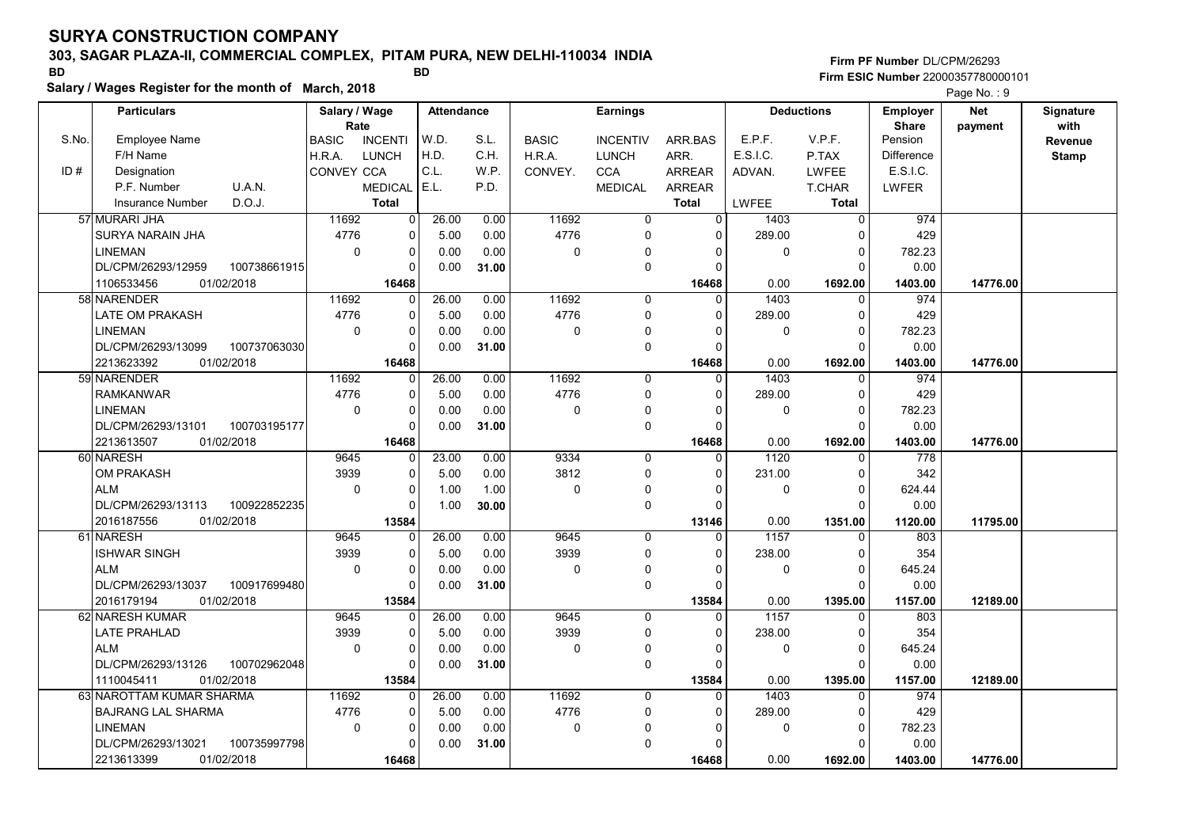# 303, SAGAR PLAZA-II, COMMERCIAL COMPLEX, PITAM PURA, NEW DELHI-110034 INDIA

Salary / Wages Register for the month of March, 2018

### Firm PF Number DL/CPM/26293 Firm ESIC Number <sup>22000357780000101</sup> BD BD

|       | <b>Particulars</b>                 | Salary / Wage        |                | Attendance |       |              | <b>Earnings</b> |                |              | <b>Deductions</b> | <b>Employer</b>         | <b>Net</b> | Signature       |
|-------|------------------------------------|----------------------|----------------|------------|-------|--------------|-----------------|----------------|--------------|-------------------|-------------------------|------------|-----------------|
| S.No. | Employee Name                      | Rate<br><b>BASIC</b> | <b>INCENTI</b> | W.D.       | S.L.  | <b>BASIC</b> | <b>INCENTIV</b> | ARR.BAS        | E.P.F.       | V.P.F.            | <b>Share</b><br>Pension | payment    | with<br>Revenue |
|       | F/H Name                           | H.R.A.               | <b>LUNCH</b>   | H.D.       | C.H.  | H.R.A.       | <b>LUNCH</b>    | ARR.           | E.S.I.C.     | P.TAX             | <b>Difference</b>       |            | <b>Stamp</b>    |
| ID#   | Designation                        | CONVEY CCA           |                | C.L.       | W.P.  | CONVEY.      | <b>CCA</b>      | <b>ARREAR</b>  | ADVAN.       | <b>LWFEE</b>      | E.S.I.C.                |            |                 |
|       | P.F. Number<br>U.A.N.              |                      | <b>MEDICAL</b> | E.L.       | P.D.  |              | <b>MEDICAL</b>  | <b>ARREAR</b>  |              | T.CHAR            | LWFER                   |            |                 |
|       | D.O.J.<br><b>Insurance Number</b>  |                      | <b>Total</b>   |            |       |              |                 | <b>Total</b>   | <b>LWFEE</b> | <b>Total</b>      |                         |            |                 |
|       | 57 MURARI JHA                      | 11692                | 0              | 26.00      | 0.00  | 11692        | 0               | $\overline{0}$ | 1403         | $\mathbf 0$       | 974                     |            |                 |
|       | SURYA NARAIN JHA                   | 4776                 | 0              | 5.00       | 0.00  | 4776         | $\mathbf 0$     | $\Omega$       | 289.00       | 0                 | 429                     |            |                 |
|       | <b>LINEMAN</b>                     | 0                    | $\mathbf 0$    | 0.00       | 0.00  | 0            | $\Omega$        | 0              | 0            | $\mathbf 0$       | 782.23                  |            |                 |
|       | DL/CPM/26293/12959<br>100738661915 |                      | $\Omega$       | 0.00       | 31.00 |              | $\mathbf 0$     | $\Omega$       |              | $\Omega$          | 0.00                    |            |                 |
|       | 1106533456<br>01/02/2018           |                      | 16468          |            |       |              |                 | 16468          | 0.00         | 1692.00           | 1403.00                 | 14776.00   |                 |
|       | 58 NARENDER                        | 11692                | $\Omega$       | 26.00      | 0.00  | 11692        | 0               | $\Omega$       | 1403         | $\mathbf 0$       | 974                     |            |                 |
|       | LATE OM PRAKASH                    | 4776                 | $\mathbf 0$    | 5.00       | 0.00  | 4776         | $\mathbf 0$     | 0              | 289.00       | 0                 | 429                     |            |                 |
|       | <b>LINEMAN</b>                     | $\Omega$             | $\mathbf 0$    | 0.00       | 0.00  | 0            | 0               |                | 0            | $\Omega$          | 782.23                  |            |                 |
|       | DL/CPM/26293/13099<br>100737063030 |                      | $\Omega$       | 0.00       | 31.00 |              | $\mathbf 0$     | $\Omega$       |              | $\Omega$          | 0.00                    |            |                 |
|       | 2213623392<br>01/02/2018           |                      | 16468          |            |       |              |                 | 16468          | 0.00         | 1692.00           | 1403.00                 | 14776.00   |                 |
|       | 59 NARENDER                        | 11692                | 0              | 26.00      | 0.00  | 11692        | 0               | $\mathbf 0$    | 1403         | $\mathbf 0$       | 974                     |            |                 |
|       | <b>RAMKANWAR</b>                   | 4776                 | $\Omega$       | 5.00       | 0.00  | 4776         | 0               | $\Omega$       | 289.00       | $\Omega$          | 429                     |            |                 |
|       | <b>LINEMAN</b>                     | 0                    | $\mathbf 0$    | 0.00       | 0.00  | 0            | $\mathbf 0$     | $\Omega$       | 0            | $\mathbf 0$       | 782.23                  |            |                 |
|       | DL/CPM/26293/13101<br>100703195177 |                      | $\Omega$       | 0.00       | 31.00 |              | $\mathbf 0$     | $\Omega$       |              | $\Omega$          | 0.00                    |            |                 |
|       | 2213613507<br>01/02/2018           |                      | 16468          |            |       |              |                 | 16468          | 0.00         | 1692.00           | 1403.00                 | 14776.00   |                 |
|       | 60 NARESH                          | 9645                 | $\Omega$       | 23.00      | 0.00  | 9334         | $\mathbf 0$     | $\Omega$       | 1120         | $\mathbf 0$       | 778                     |            |                 |
|       | <b>OM PRAKASH</b>                  | 3939                 | $\Omega$       | 5.00       | 0.00  | 3812         | $\mathbf 0$     | $\Omega$       | 231.00       | $\mathbf 0$       | 342                     |            |                 |
|       | <b>ALM</b>                         | $\mathbf 0$          | $\Omega$       | 1.00       | 1.00  | 0            | 0               | 0              | 0            | $\Omega$          | 624.44                  |            |                 |
|       | DL/CPM/26293/13113<br>100922852235 |                      | $\Omega$       | 1.00       | 30.00 |              | 0               | U              |              | $\Omega$          | 0.00                    |            |                 |
|       | 2016187556<br>01/02/2018           |                      | 13584          |            |       |              |                 | 13146          | 0.00         | 1351.00           | 1120.00                 | 11795.00   |                 |
|       | 61 NARESH                          | 9645                 | $\Omega$       | 26.00      | 0.00  | 9645         | $\mathbf 0$     | $\Omega$       | 1157         | $\Omega$          | 803                     |            |                 |
|       | <b>ISHWAR SINGH</b>                | 3939                 | $\Omega$       | 5.00       | 0.00  | 3939         | $\mathbf 0$     | $\Omega$       | 238.00       | $\Omega$          | 354                     |            |                 |
|       | <b>ALM</b>                         | 0                    | $\pmb{0}$      | 0.00       | 0.00  | 0            | 0               | O              | 0            | $\mathbf 0$       | 645.24                  |            |                 |
|       | DL/CPM/26293/13037<br>100917699480 |                      | $\Omega$       | 0.00       | 31.00 |              | $\mathbf 0$     | $\Omega$       |              | $\Omega$          | 0.00                    |            |                 |
|       | 01/02/2018<br>2016179194           |                      | 13584          |            |       |              |                 | 13584          | 0.00         | 1395.00           | 1157.00                 | 12189.00   |                 |
|       | 62 NARESH KUMAR                    | 9645                 | $\Omega$       | 26.00      | 0.00  | 9645         | $\mathbf 0$     | $\Omega$       | 1157         | $\mathbf 0$       | 803                     |            |                 |
|       | LATE PRAHLAD                       | 3939                 | $\overline{0}$ | 5.00       | 0.00  | 3939         | 0               | 0              | 238.00       | 0                 | 354                     |            |                 |
|       | <b>ALM</b>                         | $\mathbf 0$          | $\mathbf 0$    | 0.00       | 0.00  | 0            | $\mathbf 0$     | $\Omega$       | 0            | $\Omega$          | 645.24                  |            |                 |
|       | DL/CPM/26293/13126<br>100702962048 |                      | $\Omega$       | 0.00       | 31.00 |              | $\mathbf 0$     | $\Omega$       |              | $\Omega$          | 0.00                    |            |                 |
|       | 01/02/2018<br>1110045411           |                      | 13584          |            |       |              |                 | 13584          | 0.00         | 1395.00           | 1157.00                 | 12189.00   |                 |
|       | 63 NAROTTAM KUMAR SHARMA           | 11692                | $\Omega$       | 26.00      | 0.00  | 11692        | $\Omega$        | $\overline{0}$ | 1403         | $\Omega$          | 974                     |            |                 |
|       | <b>BAJRANG LAL SHARMA</b>          | 4776                 | $\mathbf 0$    | 5.00       | 0.00  | 4776         | $\mathbf 0$     | $\Omega$       | 289.00       | $\mathbf 0$       | 429                     |            |                 |
|       | <b>LINEMAN</b>                     | 0                    | $\Omega$       | 0.00       | 0.00  | 0            | $\Omega$        | 0              | 0            | $\mathbf 0$       | 782.23                  |            |                 |
|       | DL/CPM/26293/13021<br>100735997798 |                      | $\Omega$       | 0.00       | 31.00 |              | $\mathbf 0$     | O              |              | $\Omega$          | 0.00                    |            |                 |
|       | 2213613399<br>01/02/2018           |                      | 16468          |            |       |              |                 | 16468          | 0.00         | 1692.00           | 1403.00                 | 14776.00   |                 |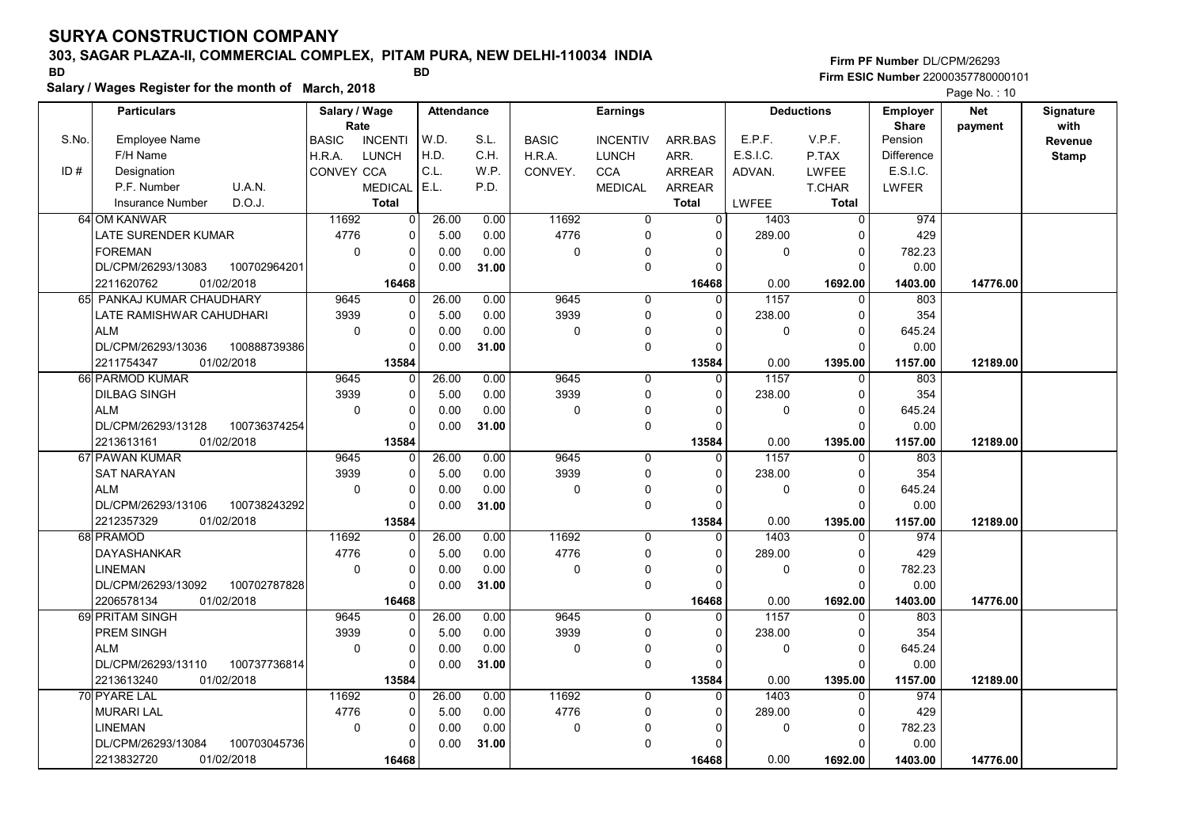# 303, SAGAR PLAZA-II, COMMERCIAL COMPLEX, PITAM PURA, NEW DELHI-110034 INDIA

Salary / Wages Register for the month of March, 2018

### Firm PF Number DL/CPM/26293 Firm ESIC Number <sup>22000357780000101</sup> BD BD

|       |                           |              |                       |                |                   |       |              |                 |                |          |                   |                          | $1$ ago 110. $10$     |                   |
|-------|---------------------------|--------------|-----------------------|----------------|-------------------|-------|--------------|-----------------|----------------|----------|-------------------|--------------------------|-----------------------|-------------------|
|       | <b>Particulars</b>        |              | Salary / Wage<br>Rate |                | <b>Attendance</b> |       |              | <b>Earnings</b> |                |          | <b>Deductions</b> | Employer<br><b>Share</b> | <b>Net</b><br>payment | Signature<br>with |
| S.No. | <b>Employee Name</b>      |              | <b>BASIC</b>          | <b>INCENTI</b> | W.D.              | S.L.  | <b>BASIC</b> | <b>INCENTIV</b> | ARR.BAS        | E.P.F.   | V.P.F.            | Pension                  |                       | Revenue           |
|       | F/H Name                  |              | H.R.A.                | <b>LUNCH</b>   | H.D.              | C.H.  | H.R.A.       | <b>LUNCH</b>    | ARR.           | E.S.I.C. | P.TAX             | Difference               |                       | <b>Stamp</b>      |
| ID#   | Designation               |              | <b>CONVEY CCA</b>     |                | C.L.              | W.P.  | CONVEY.      | <b>CCA</b>      | <b>ARREAR</b>  | ADVAN.   | <b>LWFEE</b>      | E.S.I.C.                 |                       |                   |
|       | P.F. Number               | U.A.N.       |                       | <b>MEDICAL</b> | E.L.              | P.D.  |              | <b>MEDICAL</b>  | ARREAR         |          | T.CHAR            | LWFER                    |                       |                   |
|       | <b>Insurance Number</b>   | D.O.J.       |                       | <b>Total</b>   |                   |       |              |                 | <b>Total</b>   | LWFEE    | <b>Total</b>      |                          |                       |                   |
|       | 64 OM KANWAR              |              | 11692                 | $\overline{0}$ | 26.00             | 0.00  | 11692        | $\overline{0}$  | $\overline{0}$ | 1403     | $\overline{0}$    | 974                      |                       |                   |
|       | LATE SURENDER KUMAR       |              | 4776                  | $\mathbf 0$    | 5.00              | 0.00  | 4776         | $\mathbf 0$     | $\Omega$       | 289.00   | $\Omega$          | 429                      |                       |                   |
|       | <b>FOREMAN</b>            |              | $\mathbf 0$           | 0              | 0.00              | 0.00  | 0            | 0               | $\Omega$       | 0        | $\Omega$          | 782.23                   |                       |                   |
|       | DL/CPM/26293/13083        | 100702964201 |                       | $\mathbf 0$    | 0.00              | 31.00 |              | $\mathbf 0$     | $\Omega$       |          | $\Omega$          | 0.00                     |                       |                   |
|       | 2211620762<br>01/02/2018  |              |                       | 16468          |                   |       |              |                 | 16468          | 0.00     | 1692.00           | 1403.00                  | 14776.00              |                   |
|       | 65 PANKAJ KUMAR CHAUDHARY |              | 9645                  | 0              | 26.00             | 0.00  | 9645         | $\mathbf 0$     | $\Omega$       | 1157     | $\Omega$          | 803                      |                       |                   |
|       | LATE RAMISHWAR CAHUDHARI  |              | 3939                  | $\Omega$       | 5.00              | 0.00  | 3939         | $\mathbf 0$     | $\Omega$       | 238.00   | $\Omega$          | 354                      |                       |                   |
|       | <b>ALM</b>                |              | $\mathbf 0$           | 0              | 0.00              | 0.00  | 0            | 0               | $\Omega$       | 0        | $\mathbf{0}$      | 645.24                   |                       |                   |
|       | DL/CPM/26293/13036        | 100888739386 |                       | $\Omega$       | 0.00              | 31.00 |              | $\mathbf 0$     | $\Omega$       |          | $\Omega$          | 0.00                     |                       |                   |
|       | 2211754347<br>01/02/2018  |              |                       | 13584          |                   |       |              |                 | 13584          | 0.00     | 1395.00           | 1157.00                  | 12189.00              |                   |
|       | 66 PARMOD KUMAR           |              | 9645                  | $\mathbf 0$    | 26.00             | 0.00  | 9645         | $\mathbf 0$     | $\Omega$       | 1157     | O                 | 803                      |                       |                   |
|       | <b>DILBAG SINGH</b>       |              | 3939                  | 0              | 5.00              | 0.00  | 3939         | $\mathbf 0$     | 0              | 238.00   | $\Omega$          | 354                      |                       |                   |
|       | <b>ALM</b>                |              | $\mathbf 0$           | 0              | 0.00              | 0.00  | 0            | 0               | $\Omega$       | 0        | $\Omega$          | 645.24                   |                       |                   |
|       | DL/CPM/26293/13128        | 100736374254 |                       | $\Omega$       | 0.00              | 31.00 |              | $\mathbf 0$     | $\Omega$       |          |                   | 0.00                     |                       |                   |
|       | 01/02/2018<br>2213613161  |              |                       | 13584          |                   |       |              |                 | 13584          | 0.00     | 1395.00           | 1157.00                  | 12189.00              |                   |
|       | 67 PAWAN KUMAR            |              | 9645                  | $\Omega$       | 26.00             | 0.00  | 9645         | $\mathbf 0$     | 0              | 1157     | $\Omega$          | 803                      |                       |                   |
|       | <b>SAT NARAYAN</b>        |              | 3939                  | $\Omega$       | 5.00              | 0.00  | 3939         | $\mathbf 0$     | $\Omega$       | 238.00   | $\Omega$          | 354                      |                       |                   |
|       | <b>ALM</b>                |              | $\mathbf{0}$          | $\Omega$       | 0.00              | 0.00  | 0            | $\mathbf 0$     | $\Omega$       | $\Omega$ | $\Omega$          | 645.24                   |                       |                   |
|       | DL/CPM/26293/13106        | 100738243292 |                       | $\Omega$       | 0.00              | 31.00 |              | $\mathbf 0$     | $\Omega$       |          | $\Omega$          | 0.00                     |                       |                   |
|       | 2212357329<br>01/02/2018  |              |                       | 13584          |                   |       |              |                 | 13584          | 0.00     | 1395.00           | 1157.00                  | 12189.00              |                   |
|       | 68 PRAMOD                 |              | 11692                 | $\Omega$       | 26.00             | 0.00  | 11692        | $\mathbf 0$     | $\Omega$       | 1403     |                   | 974                      |                       |                   |
|       | <b>DAYASHANKAR</b>        |              | 4776                  | $\Omega$       | 5.00              | 0.00  | 4776         | $\mathbf 0$     | $\Omega$       | 289.00   | $\Omega$          | 429                      |                       |                   |
|       | <b>LINEMAN</b>            |              | $\mathbf 0$           | 0              | 0.00              | 0.00  | 0            | 0               | 0              | 0        | 0                 | 782.23                   |                       |                   |
|       | DL/CPM/26293/13092        | 100702787828 |                       | $\Omega$       | 0.00              | 31.00 |              | $\mathbf 0$     | $\Omega$       |          | $\Omega$          | 0.00                     |                       |                   |
|       | 01/02/2018<br>2206578134  |              |                       | 16468          |                   |       |              |                 | 16468          | 0.00     | 1692.00           | 1403.00                  | 14776.00              |                   |
|       | 69 PRITAM SINGH           |              | 9645                  | $\Omega$       | 26.00             | 0.00  | 9645         | $\Omega$        | $\Omega$       | 1157     | $\Omega$          | 803                      |                       |                   |
|       | <b>PREM SINGH</b>         |              | 3939                  | 0              | 5.00              | 0.00  | 3939         | $\mathbf 0$     | $\Omega$       | 238.00   | $\Omega$          | 354                      |                       |                   |
|       | <b>ALM</b>                |              | $\mathbf{0}$          | $\mathbf 0$    | 0.00              | 0.00  | 0            | 0               | $\Omega$       | 0        | $\Omega$          | 645.24                   |                       |                   |
|       | DL/CPM/26293/13110        | 100737736814 |                       | $\Omega$       | 0.00              | 31.00 |              | $\mathbf 0$     | $\Omega$       |          | $\Omega$          | 0.00                     |                       |                   |
|       | 2213613240<br>01/02/2018  |              |                       | 13584          |                   |       |              |                 | 13584          | 0.00     | 1395.00           | 1157.00                  | 12189.00              |                   |
|       | 70 PYARE LAL              |              | 11692                 | $\Omega$       | 26.00             | 0.00  | 11692        | $\mathbf 0$     | $\Omega$       | 1403     | $\mathbf{0}$      | 974                      |                       |                   |
|       | <b>MURARI LAL</b>         |              | 4776                  | $\mathbf 0$    | 5.00              | 0.00  | 4776         | $\mathbf 0$     | $\Omega$       | 289.00   | $\Omega$          | 429                      |                       |                   |
|       | <b>LINEMAN</b>            |              | $\mathbf 0$           | $\mathbf 0$    | 0.00              | 0.00  | 0            | $\pmb{0}$       | $\Omega$       | 0        | $\Omega$          | 782.23                   |                       |                   |
|       | DL/CPM/26293/13084        | 100703045736 |                       | $\Omega$       | 0.00              | 31.00 |              | $\mathbf 0$     | $\Omega$       |          | O                 | 0.00                     |                       |                   |
|       | 2213832720<br>01/02/2018  |              |                       | 16468          |                   |       |              |                 | 16468          | 0.00     | 1692.00           | 1403.00                  | 14776.00              |                   |
|       |                           |              |                       |                |                   |       |              |                 |                |          |                   |                          |                       |                   |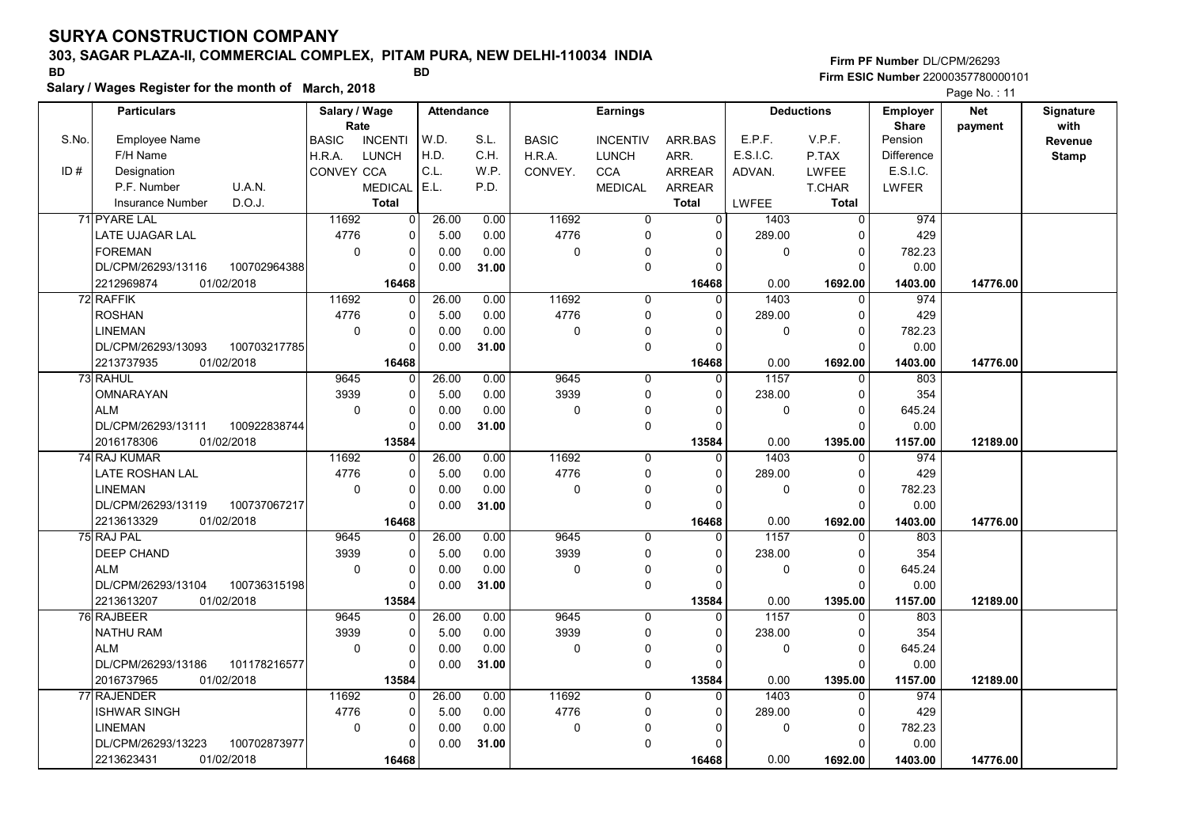# 303, SAGAR PLAZA-II, COMMERCIAL COMPLEX, PITAM PURA, NEW DELHI-110034 INDIA

Salary / Wages Register for the month of March, 2018

### Firm PF Number DL/CPM/26293 Firm ESIC Number <sup>22000357780000101</sup> BD BD

|       | <b>Particulars</b>                 | Salary / Wage        |                | <b>Attendance</b> |       |              | <b>Earnings</b> |                |          | <b>Deductions</b> | <b>Employer</b>   | <b>Net</b> | Signature       |
|-------|------------------------------------|----------------------|----------------|-------------------|-------|--------------|-----------------|----------------|----------|-------------------|-------------------|------------|-----------------|
| S.No. | <b>Employee Name</b>               | Rate<br><b>BASIC</b> | <b>INCENTI</b> | W.D.              | S.L.  | <b>BASIC</b> | <b>INCENTIV</b> | ARR.BAS        | E.P.F.   | V.P.F.            | Share<br>Pension  | payment    | with<br>Revenue |
|       | F/H Name                           | H.R.A.               | <b>LUNCH</b>   | H.D.              | C.H.  | H.R.A.       | <b>LUNCH</b>    | ARR.           | E.S.I.C. | P.TAX             | <b>Difference</b> |            | <b>Stamp</b>    |
| ID#   | Designation                        | CONVEY CCA           |                | C.L.              | W.P.  | CONVEY.      | <b>CCA</b>      | <b>ARREAR</b>  | ADVAN.   | <b>LWFEE</b>      | E.S.I.C.          |            |                 |
|       | P.F. Number<br>U.A.N.              |                      | <b>MEDICAL</b> | E.L.              | P.D.  |              | <b>MEDICAL</b>  | <b>ARREAR</b>  |          | T.CHAR            | LWFER             |            |                 |
|       | <b>Insurance Number</b><br>D.O.J.  |                      | <b>Total</b>   |                   |       |              |                 | Total          | LWFEE    | Total             |                   |            |                 |
|       | 71 PYARE LAL                       | 11692                | $\overline{0}$ | 26.00             | 0.00  | 11692        | 0               | $\overline{0}$ | 1403     | $\overline{0}$    | 974               |            |                 |
|       | LATE UJAGAR LAL                    | 4776                 | $\mathbf 0$    | 5.00              | 0.00  | 4776         | $\mathbf 0$     | $\Omega$       | 289.00   | $\Omega$          | 429               |            |                 |
|       | <b>FOREMAN</b>                     | $\mathbf 0$          | $\mathbf 0$    | 0.00              | 0.00  | 0            | 0               | $\Omega$       | 0        | $\mathbf 0$       | 782.23            |            |                 |
|       | DL/CPM/26293/13116<br>100702964388 |                      | $\Omega$       | 0.00              | 31.00 |              | $\mathbf 0$     | $\Omega$       |          | $\Omega$          | 0.00              |            |                 |
|       | 2212969874<br>01/02/2018           |                      | 16468          |                   |       |              |                 | 16468          | 0.00     | 1692.00           | 1403.00           | 14776.00   |                 |
|       | 72 RAFFIK                          | 11692                | $\mathbf 0$    | 26.00             | 0.00  | 11692        | $\mathbf 0$     | $\Omega$       | 1403     | $\mathbf 0$       | 974               |            |                 |
|       | <b>ROSHAN</b>                      | 4776                 | $\Omega$       | 5.00              | 0.00  | 4776         | $\mathbf 0$     | $\Omega$       | 289.00   | $\mathbf 0$       | 429               |            |                 |
|       | <b>LINEMAN</b>                     | 0                    | $\Omega$       | 0.00              | 0.00  | 0            | 0               |                | 0        | $\mathbf 0$       | 782.23            |            |                 |
|       | DL/CPM/26293/13093<br>100703217785 |                      | $\Omega$       | 0.00              | 31.00 |              | $\Omega$        | $\Omega$       |          | $\Omega$          | 0.00              |            |                 |
|       | 2213737935<br>01/02/2018           |                      | 16468          |                   |       |              |                 | 16468          | 0.00     | 1692.00           | 1403.00           | 14776.00   |                 |
|       | 73 RAHUL                           | 9645                 | $\Omega$       | 26.00             | 0.00  | 9645         | $\mathbf 0$     | 0              | 1157     | $\mathbf{0}$      | 803               |            |                 |
|       | OMNARAYAN                          | 3939                 | $\mathbf 0$    | 5.00              | 0.00  | 3939         | $\mathbf 0$     | $\Omega$       | 238.00   | $\Omega$          | 354               |            |                 |
|       | <b>ALM</b>                         | 0                    | $\Omega$       | 0.00              | 0.00  | 0            | 0               | O              | 0        | $\Omega$          | 645.24            |            |                 |
|       | DL/CPM/26293/13111<br>100922838744 |                      | $\Omega$       | 0.00              | 31.00 |              | $\mathbf 0$     | $\Omega$       |          | $\Omega$          | 0.00              |            |                 |
|       | 2016178306<br>01/02/2018           |                      | 13584          |                   |       |              |                 | 13584          | 0.00     | 1395.00           | 1157.00           | 12189.00   |                 |
|       | 74 RAJ KUMAR                       | 11692                | $\Omega$       | 26.00             | 0.00  | 11692        | $\mathbf 0$     | $\Omega$       | 1403     | 0                 | 974               |            |                 |
|       | LATE ROSHAN LAL                    | 4776                 | $\Omega$       | 5.00              | 0.00  | 4776         | $\mathbf 0$     | $\Omega$       | 289.00   | $\mathbf 0$       | 429               |            |                 |
|       | <b>LINEMAN</b>                     | $\Omega$             | $\Omega$       | 0.00              | 0.00  | 0            | 0               | $\Omega$       | 0        | $\Omega$          | 782.23            |            |                 |
|       | 100737067217<br>DL/CPM/26293/13119 |                      | $\Omega$       | 0.00              | 31.00 |              | $\mathbf 0$     | $\Omega$       |          | $\Omega$          | 0.00              |            |                 |
|       | 01/02/2018<br>2213613329           |                      | 16468          |                   |       |              |                 | 16468          | 0.00     | 1692.00           | 1403.00           | 14776.00   |                 |
|       | 75 RAJ PAL                         | 9645                 | 0              | 26.00             | 0.00  | 9645         | $\mathbf 0$     | $\Omega$       | 1157     | $\mathbf 0$       | 803               |            |                 |
|       | <b>DEEP CHAND</b>                  | 3939                 | $\Omega$       | 5.00              | 0.00  | 3939         | $\mathbf 0$     | $\Omega$       | 238.00   | $\Omega$          | 354               |            |                 |
|       | <b>ALM</b>                         | 0                    | $\mathbf 0$    | 0.00              | 0.00  | 0            | $\mathbf 0$     | $\Omega$       | 0        | $\mathbf 0$       | 645.24            |            |                 |
|       | DL/CPM/26293/13104<br>100736315198 |                      | $\Omega$       | 0.00              | 31.00 |              | $\mathbf 0$     | $\Omega$       |          | $\Omega$          | 0.00              |            |                 |
|       | 01/02/2018<br>2213613207           |                      | 13584          |                   |       |              |                 | 13584          | 0.00     | 1395.00           | 1157.00           | 12189.00   |                 |
|       | 76 RAJBEER                         | 9645                 | $\Omega$       | 26.00             | 0.00  | 9645         | $\Omega$        | 0              | 1157     | $\Omega$          | 803               |            |                 |
|       | <b>NATHU RAM</b>                   | 3939                 | $\Omega$       | 5.00              | 0.00  | 3939         | $\mathbf 0$     | $\Omega$       | 238.00   | $\mathbf 0$       | 354               |            |                 |
|       | <b>ALM</b>                         | $\mathbf 0$          | $\Omega$       | 0.00              | 0.00  | 0            | $\mathbf 0$     |                | 0        | $\Omega$          | 645.24            |            |                 |
|       | DL/CPM/26293/13186<br>101178216577 |                      | $\Omega$       | 0.00              | 31.00 |              | $\mathbf 0$     | $\Omega$       |          | $\Omega$          | 0.00              |            |                 |
|       | 2016737965<br>01/02/2018           |                      | 13584          |                   |       |              |                 | 13584          | 0.00     | 1395.00           | 1157.00           | 12189.00   |                 |
|       | 77 RAJENDER                        | 11692                | $\Omega$       | 26.00             | 0.00  | 11692        | $\mathbf 0$     | $\Omega$       | 1403     | $\Omega$          | 974               |            |                 |
|       | <b>ISHWAR SINGH</b>                | 4776                 | $\mathbf 0$    | 5.00              | 0.00  | 4776         | $\mathbf 0$     | $\Omega$       | 289.00   | $\mathbf 0$       | 429               |            |                 |
|       | <b>LINEMAN</b>                     | 0                    | $\mathbf 0$    | 0.00              | 0.00  | 0            | 0               | O              | 0        | $\Omega$          | 782.23            |            |                 |
|       | DL/CPM/26293/13223<br>100702873977 |                      | $\Omega$       | 0.00              | 31.00 |              | 0               |                |          | $\Omega$          | 0.00              |            |                 |
|       | 2213623431<br>01/02/2018           |                      | 16468          |                   |       |              |                 | 16468          | 0.00     | 1692.00           | 1403.00           | 14776.00   |                 |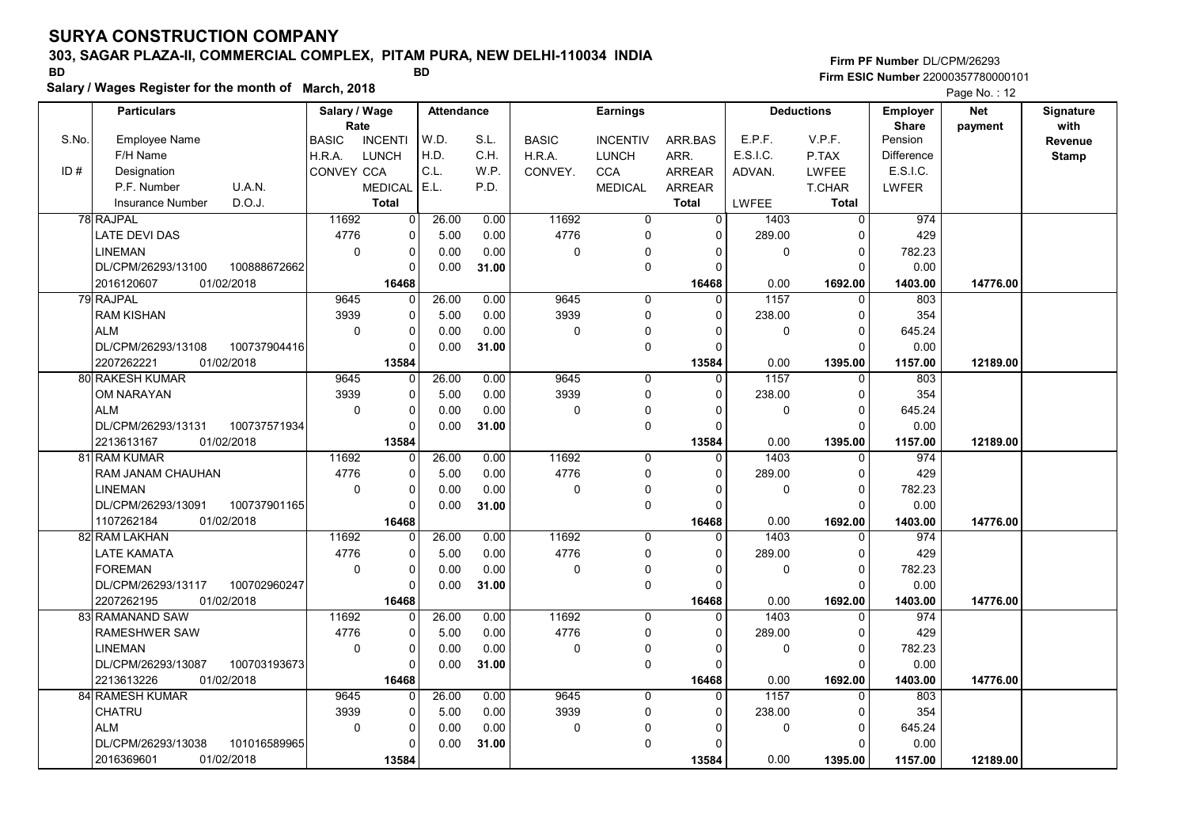# 303, SAGAR PLAZA-II, COMMERCIAL COMPLEX, PITAM PURA, NEW DELHI-110034 INDIA

Salary / Wages Register for the month of March, 2018

Firm PF Number DL/CPM/26293 Firm ESIC Number <sup>22000357780000101</sup> BD BD

|       | <b>Particulars</b>                 | Salary / Wage        |                | <b>Attendance</b> |       |              | <b>Earnings</b> |                |          | <b>Deductions</b> | <b>Employer</b>         | <b>Net</b> | Signature               |
|-------|------------------------------------|----------------------|----------------|-------------------|-------|--------------|-----------------|----------------|----------|-------------------|-------------------------|------------|-------------------------|
| S.No. | <b>Employee Name</b>               | Rate<br><b>BASIC</b> | <b>INCENTI</b> | W.D.              | S.L.  | <b>BASIC</b> | <b>INCENTIV</b> | ARR.BAS        | E.P.F.   | V.P.F.            | <b>Share</b><br>Pension | payment    | with                    |
|       | F/H Name                           | H.R.A.               | <b>LUNCH</b>   | H.D.              | C.H.  | H.R.A.       | <b>LUNCH</b>    | ARR.           | E.S.I.C. | P.TAX             | <b>Difference</b>       |            | Revenue<br><b>Stamp</b> |
| ID#   | Designation                        | CONVEY CCA           |                | C.L.              | W.P.  | CONVEY.      | <b>CCA</b>      | <b>ARREAR</b>  | ADVAN.   | <b>LWFEE</b>      | E.S.I.C.                |            |                         |
|       | U.A.N.<br>P.F. Number              |                      | <b>MEDICAL</b> | E.L.              | P.D.  |              | <b>MEDICAL</b>  | <b>ARREAR</b>  |          | T.CHAR            | <b>LWFER</b>            |            |                         |
|       | D.O.J.<br>Insurance Number         |                      | <b>Total</b>   |                   |       |              |                 | <b>Total</b>   | LWFEE    | <b>Total</b>      |                         |            |                         |
|       | 78 RAJPAL                          | 11692                | 0              | 26.00             | 0.00  | 11692        | 0               | $\overline{0}$ | 1403     | $\mathbf 0$       | 974                     |            |                         |
|       | <b>LATE DEVI DAS</b>               | 4776                 | 0              | 5.00              | 0.00  | 4776         | $\mathbf 0$     | $\Omega$       | 289.00   | 0                 | 429                     |            |                         |
|       | <b>LINEMAN</b>                     | $\mathbf 0$          | 0              | 0.00              | 0.00  | $\mathbf 0$  | $\Omega$        |                | 0        | $\Omega$          | 782.23                  |            |                         |
|       | DL/CPM/26293/13100<br>100888672662 |                      | $\overline{0}$ | 0.00              | 31.00 |              | $\mathbf 0$     | $\Omega$       |          |                   | 0.00                    |            |                         |
|       | 2016120607<br>01/02/2018           |                      | 16468          |                   |       |              |                 | 16468          | 0.00     | 1692.00           | 1403.00                 | 14776.00   |                         |
|       | 79 RAJPAL                          | 9645                 | 0              | 26.00             | 0.00  | 9645         | $\mathbf 0$     | 0              | 1157     | 0                 | 803                     |            |                         |
|       | <b>RAM KISHAN</b>                  | 3939                 | 0              | 5.00              | 0.00  | 3939         | $\mathbf 0$     | $\Omega$       | 238.00   | $\Omega$          | 354                     |            |                         |
|       | <b>ALM</b>                         | $\Omega$             | 0              | 0.00              | 0.00  | $\mathbf 0$  | $\mathbf 0$     |                | 0        | $\Omega$          | 645.24                  |            |                         |
|       | DL/CPM/26293/13108<br>100737904416 |                      | 0              | 0.00              | 31.00 |              | $\mathbf 0$     | $\Omega$       |          | $\Omega$          | 0.00                    |            |                         |
|       | 2207262221<br>01/02/2018           |                      | 13584          |                   |       |              |                 | 13584          | 0.00     | 1395.00           | 1157.00                 | 12189.00   |                         |
|       | 80 RAKESH KUMAR                    | 9645                 | 0              | 26.00             | 0.00  | 9645         | $\mathbf 0$     | 0              | 1157     | $\Omega$          | 803                     |            |                         |
|       | OM NARAYAN                         | 3939                 | 0              | 5.00              | 0.00  | 3939         | $\mathbf 0$     | $\Omega$       | 238.00   | $\Omega$          | 354                     |            |                         |
|       | <b>ALM</b>                         | $\mathbf 0$          | 0              | 0.00              | 0.00  | $\mathbf 0$  | $\mathbf 0$     | $\Omega$       | 0        | $\Omega$          | 645.24                  |            |                         |
|       | 100737571934<br>DL/CPM/26293/13131 |                      | 0              | 0.00              | 31.00 |              | $\mathbf 0$     | $\Omega$       |          | $\Omega$          | 0.00                    |            |                         |
|       | 01/02/2018<br>2213613167           |                      | 13584          |                   |       |              |                 | 13584          | 0.00     | 1395.00           | 1157.00                 | 12189.00   |                         |
|       | 81 RAM KUMAR                       | 11692                | 0              | 26.00             | 0.00  | 11692        | $\Omega$        | $\Omega$       | 1403     | $\Omega$          | 974                     |            |                         |
|       | RAM JANAM CHAUHAN                  | 4776                 | 0              | 5.00              | 0.00  | 4776         | $\mathbf 0$     | $\Omega$       | 289.00   | $\Omega$          | 429                     |            |                         |
|       | <b>LINEMAN</b>                     | $\Omega$             | 0              | 0.00              | 0.00  | $\mathbf 0$  | $\mathbf 0$     | $\Omega$       | 0        | $\Omega$          | 782.23                  |            |                         |
|       | DL/CPM/26293/13091<br>100737901165 |                      | 0              | 0.00              | 31.00 |              | $\mathbf 0$     | $\Omega$       |          | $\Omega$          | 0.00                    |            |                         |
|       | 1107262184<br>01/02/2018           |                      | 16468          |                   |       |              |                 | 16468          | 0.00     | 1692.00           | 1403.00                 | 14776.00   |                         |
|       | 82 RAM LAKHAN                      | 11692                | 0              | 26.00             | 0.00  | 11692        | $\mathbf 0$     | $\Omega$       | 1403     | $\Omega$          | 974                     |            |                         |
|       | LATE KAMATA                        | 4776                 | 0              | 5.00              | 0.00  | 4776         | 0               | $\Omega$       | 289.00   | n                 | 429                     |            |                         |
|       | <b>FOREMAN</b>                     | $\mathbf 0$          | 0              | 0.00              | 0.00  | $\mathbf 0$  | $\Omega$        | 0              | 0        | $\mathbf 0$       | 782.23                  |            |                         |
|       | DL/CPM/26293/13117<br>100702960247 |                      | $\Omega$       | 0.00              | 31.00 |              | $\mathbf 0$     | $\Omega$       |          | $\Omega$          | 0.00                    |            |                         |
|       | 01/02/2018<br>2207262195           |                      | 16468          |                   |       |              |                 | 16468          | 0.00     | 1692.00           | 1403.00                 | 14776.00   |                         |
|       | 83 RAMANAND SAW                    | 11692                | 0              | 26.00             | 0.00  | 11692        | 0               | $\Omega$       | 1403     | $\Omega$          | 974                     |            |                         |
|       | RAMESHWER SAW                      | 4776                 | 0              | 5.00              | 0.00  | 4776         | 0               | 0              | 289.00   | 0                 | 429                     |            |                         |
|       | <b>LINEMAN</b>                     | $\pmb{0}$            | 0              | 0.00              | 0.00  | 0            | $\Omega$        | O              | 0        | $\Omega$          | 782.23                  |            |                         |
|       | DL/CPM/26293/13087<br>100703193673 |                      | $\Omega$       | 0.00              | 31.00 |              | $\mathbf 0$     | $\Omega$       |          | $\Omega$          | 0.00                    |            |                         |
|       | 01/02/2018<br>2213613226           |                      | 16468          |                   |       |              |                 | 16468          | 0.00     | 1692.00           | 1403.00                 | 14776.00   |                         |
|       | 84 RAMESH KUMAR                    | 9645                 | 0              | 26.00             | 0.00  | 9645         | $\mathbf 0$     | 0              | 1157     | 0                 | 803                     |            |                         |
|       | CHATRU                             | 3939                 | 0              | 5.00              | 0.00  | 3939         | 0               | 0              | 238.00   | 0                 | 354                     |            |                         |
|       | <b>ALM</b>                         | 0                    | 0              | 0.00              | 0.00  | 0            | $\pmb{0}$       | O              | 0        | $\Omega$          | 645.24                  |            |                         |
|       | DL/CPM/26293/13038<br>101016589965 |                      | $\Omega$       | 0.00              | 31.00 |              | $\mathbf 0$     | $\Omega$       |          | $\Omega$          | 0.00                    |            |                         |
|       | 2016369601<br>01/02/2018           |                      | 13584          |                   |       |              |                 | 13584          | 0.00     | 1395.00           | 1157.00                 | 12189.00   |                         |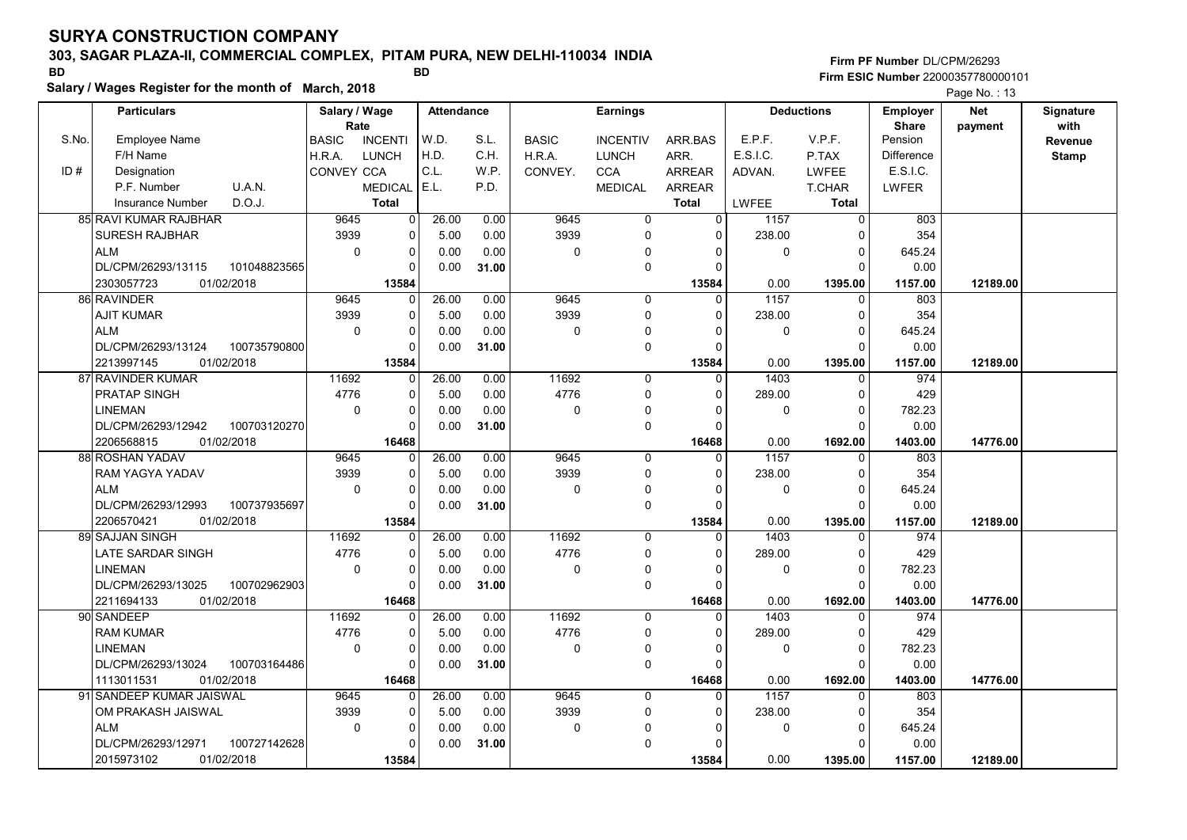# 303, SAGAR PLAZA-II, COMMERCIAL COMPLEX, PITAM PURA, NEW DELHI-110034 INDIA

Salary / Wages Register for the month of March, 2018

Firm PF Number DL/CPM/26293 Firm ESIC Number <sup>22000357780000101</sup> BD BD

|       | <b>Particulars</b>                 | Salary / Wage                  | <b>Attendance</b>     |       | <b>Earnings</b> |                 |                |          | <b>Deductions</b> | Employer                | <b>Net</b> | Signature      |
|-------|------------------------------------|--------------------------------|-----------------------|-------|-----------------|-----------------|----------------|----------|-------------------|-------------------------|------------|----------------|
| S.No. | <b>Employee Name</b>               | Rate                           | W.D.                  | S.L.  |                 | <b>INCENTIV</b> |                | E.P.F.   | V.P.F.            | <b>Share</b><br>Pension | payment    | with           |
|       | F/H Name                           | <b>INCENTI</b><br><b>BASIC</b> | H.D.                  | C.H.  | <b>BASIC</b>    |                 | ARR.BAS        | E.S.I.C. |                   | <b>Difference</b>       |            | <b>Revenue</b> |
|       |                                    | H.R.A.<br><b>LUNCH</b>         | C.L.                  |       | H.R.A.          | <b>LUNCH</b>    | ARR.           |          | P.TAX             | E.S.I.C.                |            | <b>Stamp</b>   |
| ID#   | Designation                        | CONVEY CCA                     |                       | W.P.  | CONVEY.         | <b>CCA</b>      | <b>ARREAR</b>  | ADVAN.   | LWFEE             |                         |            |                |
|       | U.A.N.<br>P.F. Number              | <b>MEDICAL</b>                 | E.L.                  | P.D.  |                 | <b>MEDICAL</b>  | ARREAR         |          | T.CHAR            | LWFER                   |            |                |
|       | D.O.J.<br><b>Insurance Number</b>  | <b>Total</b>                   |                       |       |                 |                 | <b>Total</b>   | LWFEE    | <b>Total</b>      |                         |            |                |
|       | 85 RAVI KUMAR RAJBHAR              | 9645                           | 26.00<br>0            | 0.00  | 9645            | 0               | $\overline{0}$ | 1157     | $\mathbf 0$       | 803                     |            |                |
|       | SURESH RAJBHAR                     | 3939                           | 5.00<br>$\Omega$      | 0.00  | 3939            | 0               | $\Omega$       | 238.00   | $\Omega$          | 354                     |            |                |
|       | <b>ALM</b>                         | $\mathbf 0$                    | 0.00<br>$\Omega$      | 0.00  | $\mathbf 0$     | 0               | 0              | 0        | 0                 | 645.24                  |            |                |
|       | DL/CPM/26293/13115<br>101048823565 |                                | 0.00                  | 31.00 |                 | 0               | $\Omega$       |          | $\Omega$          | 0.00                    |            |                |
|       | 2303057723<br>01/02/2018           | 13584                          |                       |       |                 |                 | 13584          | 0.00     | 1395.00           | 1157.00                 | 12189.00   |                |
|       | 86 RAVINDER                        | 9645                           | 26.00<br>$\Omega$     | 0.00  | 9645            | $\mathbf 0$     | $\mathbf{0}$   | 1157     | $\Omega$          | 803                     |            |                |
|       | AJIT KUMAR                         | 3939                           | 5.00<br>$\mathbf 0$   | 0.00  | 3939            | 0               | $\Omega$       | 238.00   | $\Omega$          | 354                     |            |                |
|       | <b>ALM</b>                         | $\mathbf 0$                    | $\Omega$<br>0.00      | 0.00  | $\mathbf 0$     | $\Omega$        | $\Omega$       | 0        | 0                 | 645.24                  |            |                |
|       | DL/CPM/26293/13124<br>100735790800 |                                | 0.00                  | 31.00 |                 | 0               | 0              |          | $\Omega$          | 0.00                    |            |                |
|       | 2213997145<br>01/02/2018           | 13584                          |                       |       |                 |                 | 13584          | 0.00     | 1395.00           | 1157.00                 | 12189.00   |                |
|       | 87 RAVINDER KUMAR                  | 11692<br>$\Omega$              | 26.00                 | 0.00  | 11692           | 0               | $\Omega$       | 1403     | $\Omega$          | 974                     |            |                |
|       | PRATAP SINGH                       | 4776                           | 5.00<br>0             | 0.00  | 4776            | 0               | $\Omega$       | 289.00   | 0                 | 429                     |            |                |
|       | <b>LINEMAN</b>                     | $\pmb{0}$<br>$\Omega$          | 0.00                  | 0.00  | 0               | 0               | $\Omega$       | 0        | $\Omega$          | 782.23                  |            |                |
|       | DL/CPM/26293/12942<br>100703120270 |                                | 0.00                  | 31.00 |                 | 0               | $\Omega$       |          | $\Omega$          | 0.00                    |            |                |
|       | 2206568815<br>01/02/2018           | 16468                          |                       |       |                 |                 | 16468          | 0.00     | 1692.00           | 1403.00                 | 14776.00   |                |
|       | 88 ROSHAN YADAV                    | 9645                           | 26.00<br>$\Omega$     | 0.00  | 9645            | $\mathbf 0$     | $\Omega$       | 1157     | $\Omega$          | 803                     |            |                |
|       | RAM YAGYA YADAV                    | 3939                           | 5.00<br>$\Omega$      | 0.00  | 3939            | 0               | $\Omega$       | 238.00   | $\Omega$          | 354                     |            |                |
|       | <b>ALM</b>                         | 0<br>$\Omega$                  | 0.00                  | 0.00  | $\mathbf 0$     | 0               | $\Omega$       | 0        | $\Omega$          | 645.24                  |            |                |
|       | DL/CPM/26293/12993<br>100737935697 |                                | 0.00                  | 31.00 |                 | 0               | $\Omega$       |          | $\Omega$          | 0.00                    |            |                |
|       | 2206570421<br>01/02/2018           | 13584                          |                       |       |                 |                 | 13584          | 0.00     | 1395.00           | 1157.00                 | 12189.00   |                |
|       | 89 SAJJAN SINGH                    | 11692                          | 26.00<br>$\mathbf{0}$ | 0.00  | 11692           | 0               | $\mathbf 0$    | 1403     | $\Omega$          | 974                     |            |                |
|       | LATE SARDAR SINGH                  | 4776<br>O                      | 5.00                  | 0.00  | 4776            | 0               | $\Omega$       | 289.00   | $\Omega$          | 429                     |            |                |
|       | <b>LINEMAN</b>                     | 0<br>$\Omega$                  | 0.00                  | 0.00  | $\Omega$        | 0               | $\Omega$       | 0        | $\Omega$          | 782.23                  |            |                |
|       | DL/CPM/26293/13025<br>100702962903 | $\Omega$                       | 0.00                  | 31.00 |                 | 0               | $\Omega$       |          | $\Omega$          | 0.00                    |            |                |
|       | 2211694133<br>01/02/2018           | 16468                          |                       |       |                 |                 | 16468          | 0.00     | 1692.00           | 1403.00                 | 14776.00   |                |
|       | 90 SANDEEP                         | 11692                          | 26.00<br>$\Omega$     | 0.00  | 11692           | 0               | $\mathbf{0}$   | 1403     | $\Omega$          | 974                     |            |                |
|       | RAM KUMAR                          | 4776                           | $\Omega$<br>5.00      | 0.00  | 4776            | 0               | $\Omega$       | 289.00   | 0                 | 429                     |            |                |
|       | <b>LINEMAN</b>                     | $\Omega$<br>$\Omega$           | 0.00                  | 0.00  | $\Omega$        | 0               | $\Omega$       | 0        | $\Omega$          | 782.23                  |            |                |
|       | 100703164486<br>DL/CPM/26293/13024 | $\Omega$                       | 0.00                  | 31.00 |                 | 0               | $\Omega$       |          | $\Omega$          | 0.00                    |            |                |
|       | 01/02/2018<br>1113011531           | 16468                          |                       |       |                 |                 | 16468          | 0.00     | 1692.00           | 1403.00                 | 14776.00   |                |
|       | 91 SANDEEP KUMAR JAISWAL           | 9645                           | 26.00<br>$\Omega$     | 0.00  | 9645            | $\Omega$        | $\Omega$       | 1157     | $\Omega$          | 803                     |            |                |
|       | OM PRAKASH JAISWAL                 | 3939                           | 5.00<br>0             | 0.00  | 3939            | 0               | $\Omega$       | 238.00   | $\Omega$          | 354                     |            |                |
|       | <b>ALM</b>                         | $\mathbf 0$                    | $\mathbf 0$<br>0.00   | 0.00  | 0               | 0               | O              | 0        | 0                 | 645.24                  |            |                |
|       | 100727142628<br>DL/CPM/26293/12971 |                                | 0.00                  | 31.00 |                 | $\Omega$        |                |          | 0                 | 0.00                    |            |                |
|       | 2015973102<br>01/02/2018           | 13584                          |                       |       |                 |                 | 13584          | 0.00     | 1395.00           | 1157.00                 | 12189.00   |                |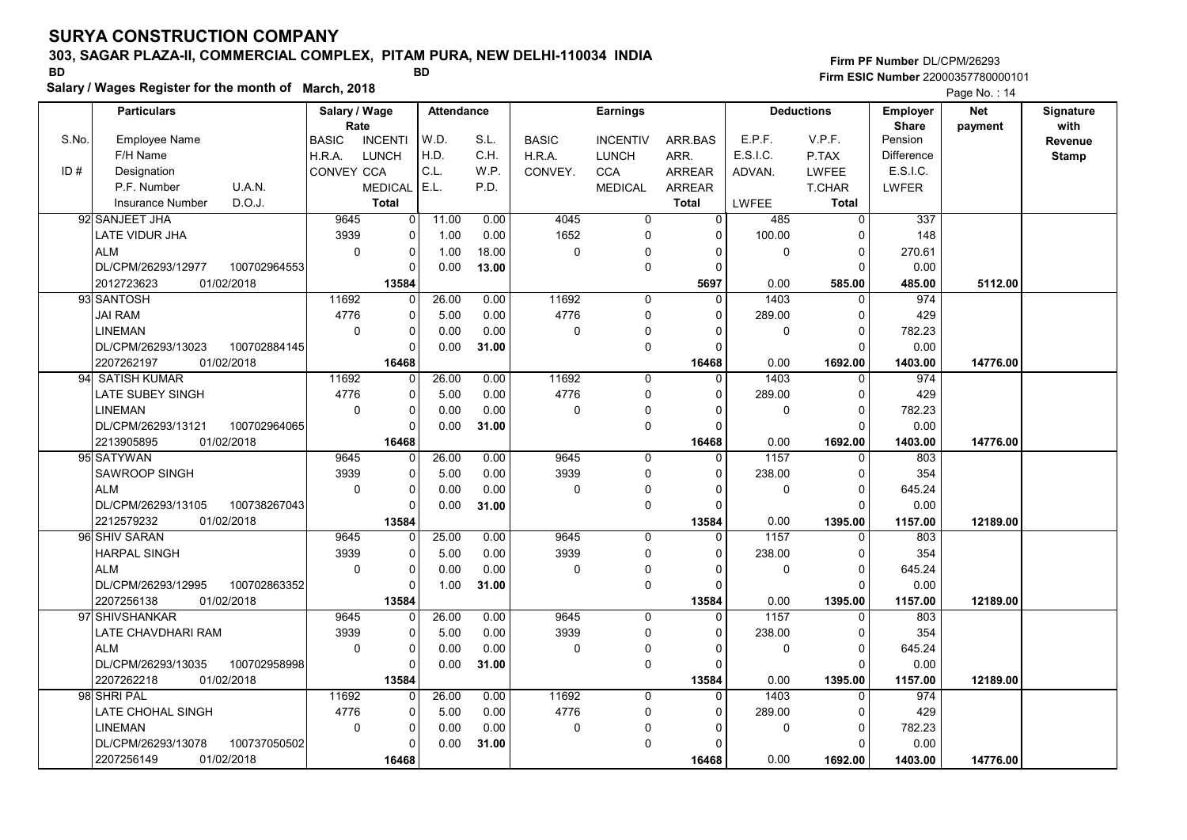## 303, SAGAR PLAZA-II, COMMERCIAL COMPLEX, PITAM PURA, NEW DELHI-110034 INDIA

0

 0 0  0.00 0.00

 0.00 31.00

LINEMAN

DL/CPM/26293/13078

2207256149 01/02/2018 | 16468

100737050502

Firm PF Number DL/CPM/26293 Firm ESIC Number <sup>22000357780000101</sup> BD BD

|       | Salary / Wages Register for the month of March, 2018 |                   |                       |       |                   |              |                 | Page No.: 14  |             |                   |                          |                       |                   |
|-------|------------------------------------------------------|-------------------|-----------------------|-------|-------------------|--------------|-----------------|---------------|-------------|-------------------|--------------------------|-----------------------|-------------------|
|       | <b>Particulars</b>                                   |                   | Salary / Wage<br>Rate |       | <b>Attendance</b> |              | <b>Earnings</b> |               |             | <b>Deductions</b> | Employer<br><b>Share</b> | <b>Net</b><br>payment | Signature<br>with |
| S.No. | <b>Employee Name</b>                                 | <b>BASIC</b>      | <b>INCENTI</b>        | W.D.  | S.L.              | <b>BASIC</b> | <b>INCENTIV</b> | ARR.BAS       | E.P.F.      | V.P.F.            | Pension                  |                       | Revenue           |
|       | F/H Name                                             | H.R.A.            | <b>LUNCH</b>          | H.D.  | C.H.              | H.R.A.       | <b>LUNCH</b>    | ARR.          | E.S.I.C.    | P.TAX             | <b>Difference</b>        |                       | <b>Stamp</b>      |
| ID#   | Designation                                          | <b>CONVEY CCA</b> |                       | C.L.  | W.P.              | CONVEY.      | <b>CCA</b>      | ARREAR        | ADVAN.      | <b>LWFEE</b>      | E.S.I.C.                 |                       |                   |
|       | P.F. Number<br>U.A.N.                                |                   | <b>MEDICAL</b>        | E.L.  | P.D.              |              | <b>MEDICAL</b>  | <b>ARREAR</b> |             | T.CHAR            | LWFER                    |                       |                   |
|       | D.O.J.<br><b>Insurance Number</b>                    |                   | <b>Total</b>          |       |                   |              |                 | <b>Total</b>  | LWFEE       | Total             |                          |                       |                   |
|       | 92 SANJEET JHA                                       | 9645              | $\overline{0}$        | 11.00 | 0.00              | 4045         | 0               | 0             | 485         | 0                 | 337                      |                       |                   |
|       | <b>LATE VIDUR JHA</b>                                | 3939              | 0                     | 1.00  | 0.00              | 1652         | 0               | 0             | 100.00      | 0                 | 148                      |                       |                   |
|       | <b>ALM</b>                                           | 0                 | 0                     | 1.00  | 18.00             | $\mathbf 0$  | 0               | 0             | $\mathbf 0$ | 0                 | 270.61                   |                       |                   |
|       | DL/CPM/26293/12977<br>100702964553                   |                   | $\Omega$              | 0.00  | 13.00             |              | 0               |               |             | $\Omega$          | 0.00                     |                       |                   |
|       | 2012723623<br>01/02/2018                             |                   | 13584                 |       |                   |              |                 | 5697          | 0.00        | 585.00            | 485.00                   | 5112.00               |                   |
|       | 93 SANTOSH                                           | 11692             | $\Omega$              | 26.00 | 0.00              | 11692        | $\Omega$        | 0             | 1403        | 0                 | 974                      |                       |                   |
|       | <b>JAI RAM</b>                                       | 4776              | 0                     | 5.00  | 0.00              | 4776         | $\Omega$        | 0             | 289.00      | 0                 | 429                      |                       |                   |
|       | <b>LINEMAN</b>                                       | $\Omega$          | $\Omega$              | 0.00  | 0.00              | $\Omega$     | 0               | 0             | 0           | 0                 | 782.23                   |                       |                   |
|       | 100702884145<br>DL/CPM/26293/13023                   |                   | $\Omega$              | 0.00  | 31.00             |              | $\Omega$        | O             |             | 0                 | 0.00                     |                       |                   |
|       | 01/02/2018<br>2207262197                             |                   | 16468                 |       |                   |              |                 | 16468         | 0.00        | 1692.00           | 1403.00                  | 14776.00              |                   |
| 94    | <b>SATISH KUMAR</b>                                  | 11692             | 0                     | 26.00 | 0.00              | 11692        | $\Omega$        | 0             | 1403        | 0                 | 974                      |                       |                   |
|       | LATE SUBEY SINGH                                     | 4776              | 0                     | 5.00  | 0.00              | 4776         | 0               | 0             | 289.00      | 0                 | 429                      |                       |                   |
|       | LINEMAN                                              | 0                 | 0                     | 0.00  | 0.00              | $\Omega$     | 0               | 0             | 0           | 0                 | 782.23                   |                       |                   |
|       | DL/CPM/26293/13121<br>100702964065                   |                   |                       | 0.00  | 31.00             |              | 0               | $\Omega$      |             | 0                 | 0.00                     |                       |                   |
|       | 2213905895<br>01/02/2018                             |                   | 16468                 |       |                   |              |                 | 16468         | 0.00        | 1692.00           | 1403.00                  | 14776.00              |                   |
|       | 95 SATYWAN                                           | 9645              | $\Omega$              | 26.00 | 0.00              | 9645         | 0               | 0             | 1157        | 0                 | 803                      |                       |                   |
|       | <b>SAWROOP SINGH</b>                                 | 3939              | 0                     | 5.00  | 0.00              | 3939         | 0               | 0             | 238.00      | 0                 | 354                      |                       |                   |
|       | <b>ALM</b>                                           | 0                 | 0                     | 0.00  | 0.00              | 0            | 0               | 0             | 0           | 0                 | 645.24                   |                       |                   |
|       | DL/CPM/26293/13105<br>100738267043                   |                   | $\Omega$              | 0.00  | 31.00             |              | 0               | $\Omega$      |             | 0                 | 0.00                     |                       |                   |
|       | 2212579232<br>01/02/2018                             |                   | 13584                 |       |                   |              |                 | 13584         | 0.00        | 1395.00           | 1157.00                  | 12189.00              |                   |
|       | 96 SHIV SARAN                                        | 9645              | $\Omega$              | 25.00 | 0.00              | 9645         | $\Omega$        | $\Omega$      | 1157        | 0                 | 803                      |                       |                   |
|       | <b>HARPAL SINGH</b>                                  | 3939              | 0                     | 5.00  | 0.00              | 3939         | 0               | $\Omega$      | 238.00      | 0                 | 354                      |                       |                   |
|       | <b>ALM</b>                                           | 0                 | $\Omega$              | 0.00  | 0.00              | $\Omega$     | $\mathbf 0$     | 0             | 0           | 0                 | 645.24                   |                       |                   |
|       | DL/CPM/26293/12995<br>100702863352                   |                   | $\Omega$              | 1.00  | 31.00             |              | $\Omega$        |               |             | 0                 | 0.00                     |                       |                   |
|       | 2207256138<br>01/02/2018                             |                   | 13584                 |       |                   |              |                 | 13584         | 0.00        | 1395.00           | 1157.00                  | 12189.00              |                   |
|       | 97 SHIVSHANKAR                                       | 9645              | 0                     | 26.00 | 0.00              | 9645         | 0               | 0             | 1157        | 0                 | 803                      |                       |                   |
|       | LATE CHAVDHARI RAM                                   | 3939              | 0                     | 5.00  | 0.00              | 3939         | 0               | 0             | 238.00      | 0                 | 354                      |                       |                   |
|       | <b>ALM</b>                                           | 0                 | 0                     | 0.00  | 0.00              | 0            | 0               | 0             | 0           | 0                 | 645.24                   |                       |                   |
|       | DL/CPM/26293/13035<br>100702958998                   |                   |                       | 0.00  | 31.00             |              | $\Omega$        | O             |             | 0                 | 0.00                     |                       |                   |
|       | 2207262218<br>01/02/2018                             |                   | 13584                 |       |                   |              |                 | 13584         | 0.00        | 1395.00           | 1157.00                  | 12189.00              |                   |
|       | 98 SHRI PAL                                          | 11692             |                       | 26.00 | 0.00              | 11692        | $\Omega$        |               | 1403        | 0                 | 974                      |                       |                   |
|       | LATE CHOHAL SINGH                                    | 4776              | $\overline{0}$        | 5.00  | 0.00              | 4776         | $\Omega$        | 0             | 289.00      | 0                 | 429                      |                       |                   |

0

01/02/2018 | 16468| | 16468 | 0.00 1692.00 | 1403.00

 0 0 16468 0

 0 0

 $0.00$  1692.00 1403.00 14776.00

0.00

782.23

 0 0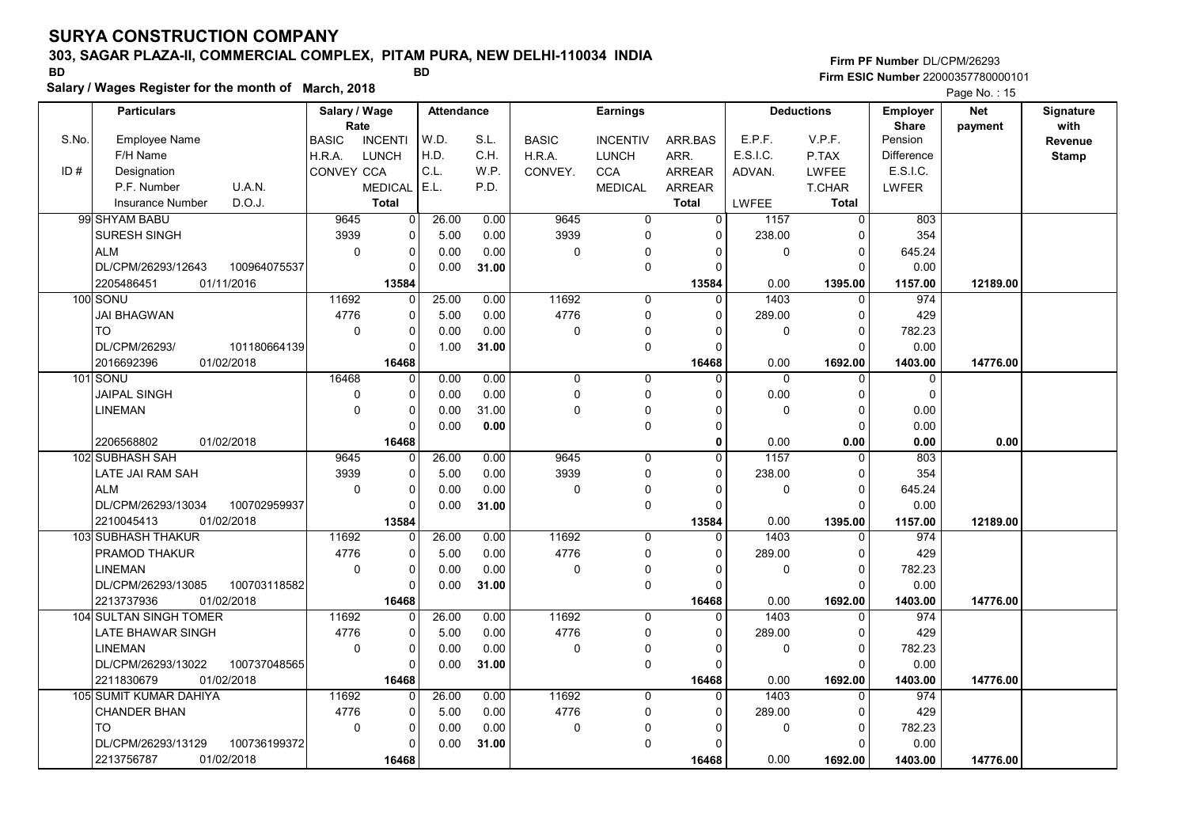# 303, SAGAR PLAZA-II, COMMERCIAL COMPLEX, PITAM PURA, NEW DELHI-110034 INDIA

Salary / Wages Register for the month of March, 2018

### Firm PF Number DL/CPM/26293 Firm ESIC Number <sup>22000357780000101</sup> BD BD

|       | <b>Particulars</b>                 | Salary / Wage<br>Rate |                | <b>Attendance</b> |       | <b>Earnings</b> |                 |              |          | <b>Deductions</b> | Employer                | <b>Net</b> | Signature       |
|-------|------------------------------------|-----------------------|----------------|-------------------|-------|-----------------|-----------------|--------------|----------|-------------------|-------------------------|------------|-----------------|
| S.No. | <b>Employee Name</b>               | <b>BASIC</b>          | <b>INCENTI</b> | W.D.              | S.L.  | <b>BASIC</b>    | <b>INCENTIV</b> | ARR.BAS      | E.P.F.   | V.P.F.            | <b>Share</b><br>Pension | payment    | with<br>Revenue |
|       | F/H Name                           | H.R.A.                | <b>LUNCH</b>   | H.D.              | C.H.  | H.R.A.          | <b>LUNCH</b>    | ARR.         | E.S.I.C. | P.TAX             | <b>Difference</b>       |            | <b>Stamp</b>    |
| ID#   | Designation                        | CONVEY CCA            |                | C.L.              | W.P.  | CONVEY.         | <b>CCA</b>      | ARREAR       | ADVAN.   | <b>LWFEE</b>      | E.S.I.C.                |            |                 |
|       | P.F. Number<br>U.A.N.              |                       | <b>MEDICAL</b> | E.L.              | P.D.  |                 | <b>MEDICAL</b>  | ARREAR       |          | <b>T.CHAR</b>     | LWFER                   |            |                 |
|       | D.O.J.<br><b>Insurance Number</b>  |                       | <b>Total</b>   |                   |       |                 |                 | <b>Total</b> | LWFEE    | <b>Total</b>      |                         |            |                 |
|       | 99 SHYAM BABU                      | 9645                  | 0              | 26.00             | 0.00  | 9645            | $\mathbf 0$     | 0            | 1157     | $\overline{0}$    | 803                     |            |                 |
|       | <b>SURESH SINGH</b>                | 3939                  | 0              | 5.00              | 0.00  | 3939            | $\mathbf 0$     | $\Omega$     | 238.00   | $\Omega$          | 354                     |            |                 |
|       | <b>ALM</b>                         | $\mathbf 0$           | 0              | 0.00              | 0.00  | 0               | 0               | $\Omega$     | 0        | $\mathbf 0$       | 645.24                  |            |                 |
|       | DL/CPM/26293/12643<br>100964075537 |                       | 0              | 0.00              | 31.00 |                 | 0               | $\Omega$     |          | $\Omega$          | 0.00                    |            |                 |
|       | 2205486451<br>01/11/2016           |                       | 13584          |                   |       |                 |                 | 13584        | 0.00     | 1395.00           | 1157.00                 | 12189.00   |                 |
|       | 100 SONU                           | 11692                 | 0              | 25.00             | 0.00  | 11692           | $\mathbf 0$     | $\Omega$     | 1403     | $\mathbf 0$       | 974                     |            |                 |
|       | <b>JAI BHAGWAN</b>                 | 4776                  | 0              | 5.00              | 0.00  | 4776            | $\mathbf 0$     | $\Omega$     | 289.00   | $\mathbf 0$       | 429                     |            |                 |
|       | <b>TO</b>                          | $\mathbf 0$           | $\Omega$       | 0.00              | 0.00  | $\Omega$        | $\mathbf 0$     | $\Omega$     | 0        | $\Omega$          | 782.23                  |            |                 |
|       | DL/CPM/26293/<br>101180664139      |                       | 0              | 1.00              | 31.00 |                 | 0               | $\Omega$     |          | $\Omega$          | 0.00                    |            |                 |
|       | 2016692396<br>01/02/2018           |                       | 16468          |                   |       |                 |                 | 16468        | 0.00     | 1692.00           | 1403.00                 | 14776.00   |                 |
|       | 101 SONU                           | 16468                 | 0              | 0.00              | 0.00  | $\mathbf 0$     | $\mathbf 0$     | $\Omega$     | $\Omega$ | $\Omega$          | $\mathbf 0$             |            |                 |
|       | <b>JAIPAL SINGH</b>                | 0                     | 0              | 0.00              | 0.00  | $\mathbf 0$     | $\Omega$        | $\Omega$     | 0.00     | $\Omega$          | $\Omega$                |            |                 |
|       | LINEMAN                            | $\mathbf 0$           | 0              | 0.00              | 31.00 | 0               | 0               | $\Omega$     | 0        | $\Omega$          | 0.00                    |            |                 |
|       |                                    |                       | 0              | 0.00              | 0.00  |                 | 0               | $\Omega$     |          | $\mathbf 0$       | 0.00                    |            |                 |
|       | 2206568802<br>01/02/2018           |                       | 16468          |                   |       |                 |                 | $\Omega$     | 0.00     | 0.00              | 0.00                    | 0.00       |                 |
|       | 102 SUBHASH SAH                    | 9645                  | 0              | 26.00             | 0.00  | 9645            | $\mathbf 0$     | $\Omega$     | 1157     | 0                 | 803                     |            |                 |
|       | LATE JAI RAM SAH                   | 3939                  | 0              | 5.00              | 0.00  | 3939            | $\mathbf 0$     | $\Omega$     | 238.00   | $\Omega$          | 354                     |            |                 |
|       | <b>ALM</b>                         | $\mathbf 0$           | 0              | 0.00              | 0.00  | 0               | 0               | 0            | 0        | $\mathbf 0$       | 645.24                  |            |                 |
|       | DL/CPM/26293/13034<br>100702959937 |                       | O              | 0.00              | 31.00 |                 | $\pmb{0}$       | $\Omega$     |          | $\Omega$          | 0.00                    |            |                 |
|       | 2210045413<br>01/02/2018           |                       | 13584          |                   |       |                 |                 | 13584        | 0.00     | 1395.00           | 1157.00                 | 12189.00   |                 |
|       | 103 SUBHASH THAKUR                 | 11692                 | 0              | 26.00             | 0.00  | 11692           | $\Omega$        | $\Omega$     | 1403     | $\Omega$          | 974                     |            |                 |
|       | PRAMOD THAKUR                      | 4776                  | 0              | 5.00              | 0.00  | 4776            | $\mathbf 0$     | $\Omega$     | 289.00   | 0                 | 429                     |            |                 |
|       | LINEMAN                            | $\mathbf 0$           | 0              | 0.00              | 0.00  | 0               | 0               | 0            | 0        | $\mathbf 0$       | 782.23                  |            |                 |
|       | DL/CPM/26293/13085<br>100703118582 |                       | U              | 0.00              | 31.00 |                 | $\mathbf 0$     | $\Omega$     |          | $\Omega$          | 0.00                    |            |                 |
|       | 2213737936<br>01/02/2018           |                       | 16468          |                   |       |                 |                 | 16468        | 0.00     | 1692.00           | 1403.00                 | 14776.00   |                 |
|       | 104 SULTAN SINGH TOMER             | 11692                 | 0              | 26.00             | 0.00  | 11692           | 0               | $\mathbf{0}$ | 1403     | 0                 | 974                     |            |                 |
|       | LATE BHAWAR SINGH                  | 4776                  | 0              | 5.00              | 0.00  | 4776            | $\mathbf 0$     | 0            | 289.00   | $\mathbf 0$       | 429                     |            |                 |
|       | LINEMAN                            | $\pmb{0}$             | 0              | 0.00              | 0.00  | 0               | 0               | $\Omega$     | 0        | $\Omega$          | 782.23                  |            |                 |
|       | DL/CPM/26293/13022<br>100737048565 |                       | <sup>0</sup>   | 0.00              | 31.00 |                 | $\mathbf 0$     | $\Omega$     |          | $\Omega$          | 0.00                    |            |                 |
|       | 2211830679<br>01/02/2018           |                       | 16468          |                   |       |                 |                 | 16468        | 0.00     | 1692.00           | 1403.00                 | 14776.00   |                 |
|       | 105 SUMIT KUMAR DAHIYA             | 11692                 | 0              | 26.00             | 0.00  | 11692           | $\mathbf 0$     | $\mathbf 0$  | 1403     | $\mathbf 0$       | 974                     |            |                 |
|       | <b>CHANDER BHAN</b>                | 4776                  | 0              | 5.00              | 0.00  | 4776            | 0               | 0            | 289.00   | $\mathbf 0$       | 429                     |            |                 |
|       | <b>TO</b>                          | $\pmb{0}$             | 0              | 0.00              | 0.00  | 0               | 0               | O            | 0        | $\Omega$          | 782.23                  |            |                 |
|       | 100736199372<br>DL/CPM/26293/13129 |                       | U              | 0.00              | 31.00 |                 | $\Omega$        | $\Omega$     |          | $\Omega$          | 0.00                    |            |                 |
|       | 2213756787<br>01/02/2018           |                       | 16468          |                   |       |                 |                 | 16468        | 0.00     | 1692.00           | 1403.00                 | 14776.00   |                 |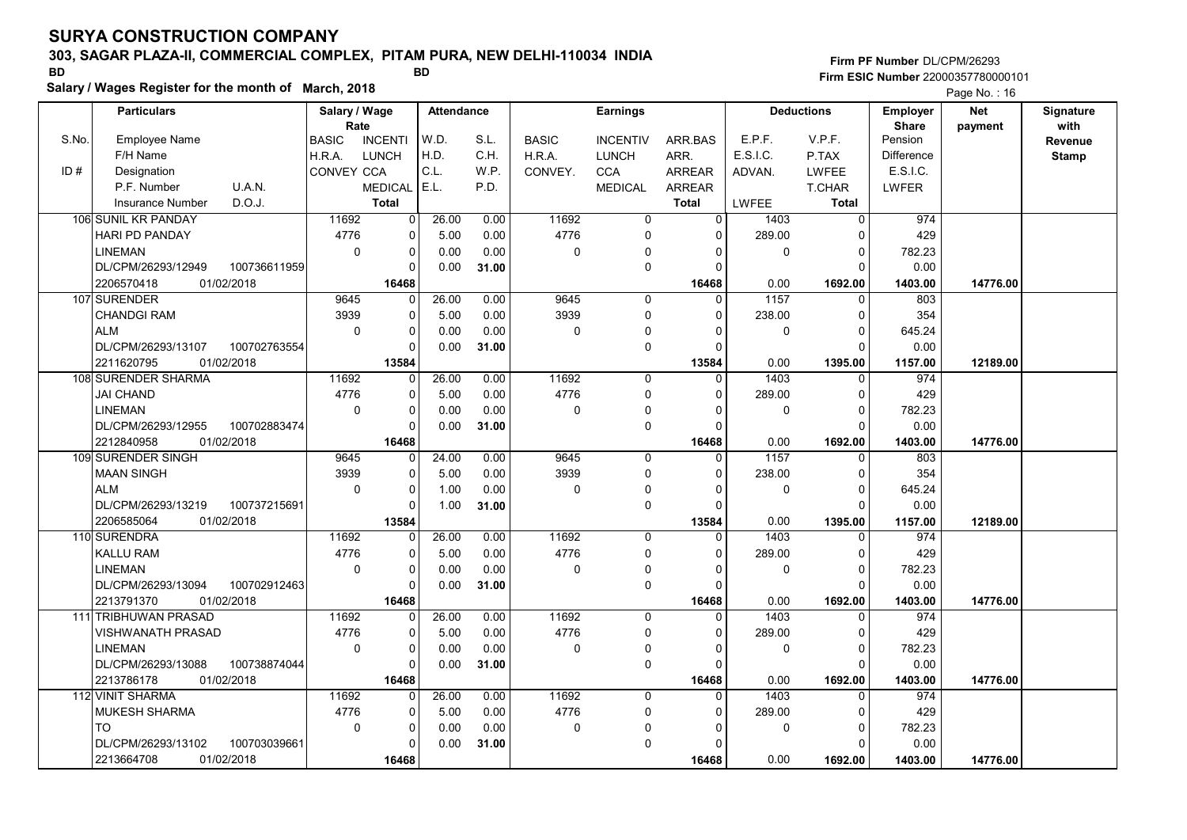# 303, SAGAR PLAZA-II, COMMERCIAL COMPLEX, PITAM PURA, NEW DELHI-110034 INDIA

Salary / Wages Register for the month of March, 2018

### Firm PF Number DL/CPM/26293 Firm ESIC Number <sup>22000357780000101</sup> BD BD

|       |                                   |              |                   |                                    |       |       |              |                 |                |                   |                   |                          | $1$ ago 110. $10$     |                   |  |
|-------|-----------------------------------|--------------|-------------------|------------------------------------|-------|-------|--------------|-----------------|----------------|-------------------|-------------------|--------------------------|-----------------------|-------------------|--|
|       | <b>Particulars</b>                | Rate         |                   | Salary / Wage<br><b>Attendance</b> |       |       |              | <b>Earnings</b> |                |                   | <b>Deductions</b> | Employer<br><b>Share</b> | <b>Net</b><br>payment | Signature<br>with |  |
| S.No. | <b>Employee Name</b>              |              | <b>BASIC</b>      | <b>INCENTI</b>                     | W.D.  | S.L.  | <b>BASIC</b> | <b>INCENTIV</b> | ARR.BAS        | E.P.F.            | V.P.F.            | Pension                  |                       | Revenue           |  |
|       | F/H Name                          |              | H.R.A.            | <b>LUNCH</b>                       | H.D.  | C.H.  | H.R.A.       | <b>LUNCH</b>    | ARR.           | E.S.I.C.          | P.TAX             | Difference               |                       | <b>Stamp</b>      |  |
| ID#   | Designation                       |              | <b>CONVEY CCA</b> |                                    | C.L.  | W.P.  | CONVEY.      | <b>CCA</b>      | <b>ARREAR</b>  | ADVAN.            | <b>LWFEE</b>      | E.S.I.C.                 |                       |                   |  |
|       | P.F. Number<br>U.A.N.             |              |                   | <b>MEDICAL</b>                     | E.L.  | P.D.  |              | <b>MEDICAL</b>  | ARREAR         |                   | T.CHAR            | LWFER                    |                       |                   |  |
|       | D.O.J.<br><b>Insurance Number</b> |              |                   | <b>Total</b>                       |       |       |              |                 | <b>Total</b>   | LWFEE             | <b>Total</b>      |                          |                       |                   |  |
|       | 106 SUNIL KR PANDAY               |              | 11692             | 0                                  | 26.00 | 0.00  | 11692        | $\overline{0}$  | $\overline{0}$ | 1403              | $\Omega$          | 974                      |                       |                   |  |
|       | <b>HARI PD PANDAY</b>             |              | 4776              | $\overline{0}$                     | 5.00  | 0.00  | 4776         | $\mathbf 0$     | 0              | 289.00            | $\Omega$          | 429                      |                       |                   |  |
|       | LINEMAN                           |              | $\mathbf 0$       | $\mathbf 0$                        | 0.00  | 0.00  | 0            | 0               | $\Omega$       | $\pmb{0}$         | $\Omega$          | 782.23                   |                       |                   |  |
|       | DL/CPM/26293/12949                | 100736611959 |                   | $\Omega$                           | 0.00  | 31.00 |              | $\mathbf 0$     | $\Omega$       |                   | $\Omega$          | 0.00                     |                       |                   |  |
|       | 2206570418<br>01/02/2018          |              |                   | 16468                              |       |       |              |                 | 16468          | 0.00              | 1692.00           | 1403.00                  | 14776.00              |                   |  |
|       | 107 SURENDER                      |              | 9645              | $\Omega$                           | 26.00 | 0.00  | 9645         | $\mathbf{0}$    | $\Omega$       | $\overline{1157}$ | $\Omega$          | 803                      |                       |                   |  |
|       | <b>CHANDGI RAM</b>                |              | 3939              | $\mathbf 0$                        | 5.00  | 0.00  | 3939         | 0               | $\Omega$       | 238.00            | $\Omega$          | 354                      |                       |                   |  |
|       | <b>ALM</b>                        |              | 0                 | $\overline{0}$                     | 0.00  | 0.00  | 0            | $\pmb{0}$       | 0              | $\pmb{0}$         | 0                 | 645.24                   |                       |                   |  |
|       | DL/CPM/26293/13107                | 100702763554 |                   | $\Omega$                           | 0.00  | 31.00 |              | $\mathbf 0$     | $\Omega$       |                   | $\Omega$          | 0.00                     |                       |                   |  |
|       | 01/02/2018<br>2211620795          |              |                   | 13584                              |       |       |              |                 | 13584          | 0.00              | 1395.00           | 1157.00                  | 12189.00              |                   |  |
|       | 108 SURENDER SHARMA               |              | 11692             | $\mathbf{0}$                       | 26.00 | 0.00  | 11692        | 0               | $\Omega$       | 1403              | 0                 | 974                      |                       |                   |  |
|       | <b>JAI CHAND</b>                  |              | 4776              | $\mathbf 0$                        | 5.00  | 0.00  | 4776         | $\mathbf 0$     | 0              | 289.00            | $\Omega$          | 429                      |                       |                   |  |
|       | <b>LINEMAN</b>                    |              | $\mathbf 0$       | $\mathbf 0$                        | 0.00  | 0.00  | 0            | 0               | $\Omega$       | $\mathbf 0$       | $\Omega$          | 782.23                   |                       |                   |  |
|       | DL/CPM/26293/12955                | 100702883474 |                   | $\Omega$                           | 0.00  | 31.00 |              | $\mathbf 0$     | $\Omega$       |                   | $\Omega$          | 0.00                     |                       |                   |  |
|       | 2212840958<br>01/02/2018          |              |                   | 16468                              |       |       |              |                 | 16468          | 0.00              | 1692.00           | 1403.00                  | 14776.00              |                   |  |
|       | 109 SURENDER SINGH                |              | 9645              | $\Omega$                           | 24.00 | 0.00  | 9645         | $\mathbf 0$     | $\Omega$       | 1157              | $\Omega$          | 803                      |                       |                   |  |
|       | <b>MAAN SINGH</b>                 |              | 3939              | $\Omega$                           | 5.00  | 0.00  | 3939         | $\mathbf 0$     | $\Omega$       | 238.00            | $\Omega$          | 354                      |                       |                   |  |
|       | <b>ALM</b>                        |              | 0                 | $\mathbf 0$                        | 1.00  | 0.00  | 0            | 0               | $\Omega$       | $\mathbf 0$       | $\Omega$          | 645.24                   |                       |                   |  |
|       | DL/CPM/26293/13219                | 100737215691 |                   | $\mathbf 0$                        | 1.00  | 31.00 |              | 0               | $\Omega$       |                   | $\Omega$          | 0.00                     |                       |                   |  |
|       | 2206585064<br>01/02/2018          |              |                   | 13584                              |       |       |              |                 | 13584          | 0.00              | 1395.00           | 1157.00                  | 12189.00              |                   |  |
|       | 110 SURENDRA                      |              | 11692             | $\Omega$                           | 26.00 | 0.00  | 11692        | $\Omega$        | $\Omega$       | 1403              | $\Omega$          | 974                      |                       |                   |  |
|       | <b>KALLU RAM</b>                  |              | 4776              | $\Omega$                           | 5.00  | 0.00  | 4776         | $\mathbf 0$     | $\Omega$       | 289.00            | $\Omega$          | 429                      |                       |                   |  |
|       | <b>LINEMAN</b>                    |              | $\mathbf 0$       | $\mathbf 0$                        | 0.00  | 0.00  | 0            | 0               | $\Omega$       | 0                 | $\mathbf 0$       | 782.23                   |                       |                   |  |
|       | DL/CPM/26293/13094                | 100702912463 |                   | $\Omega$                           | 0.00  | 31.00 |              | $\mathbf 0$     | $\Omega$       |                   | $\Omega$          | 0.00                     |                       |                   |  |
|       | 2213791370<br>01/02/2018          |              |                   | 16468                              |       |       |              |                 | 16468          | 0.00              | 1692.00           | 1403.00                  | 14776.00              |                   |  |
|       | <b>111 TRIBHUWAN PRASAD</b>       |              | 11692             | $\Omega$                           | 26.00 | 0.00  | 11692        | $\mathbf 0$     | $\Omega$       | 1403              | $\Omega$          | 974                      |                       |                   |  |
|       | VISHWANATH PRASAD                 |              | 4776              | $\mathbf 0$                        | 5.00  | 0.00  | 4776         | 0               | 0              | 289.00            | 0                 | 429                      |                       |                   |  |
|       | <b>LINEMAN</b>                    |              | $\mathbf 0$       | $\Omega$                           | 0.00  | 0.00  | 0            | 0               | $\Omega$       | $\mathbf 0$       | $\Omega$          | 782.23                   |                       |                   |  |
|       | DL/CPM/26293/13088                | 100738874044 |                   | $\Omega$                           | 0.00  | 31.00 |              | $\mathbf 0$     | $\Omega$       |                   | $\Omega$          | 0.00                     |                       |                   |  |
|       | 2213786178<br>01/02/2018          |              |                   | 16468                              |       |       |              |                 | 16468          | 0.00              | 1692.00           | 1403.00                  | 14776.00              |                   |  |
|       | 112 VINIT SHARMA                  |              | 11692             | 0                                  | 26.00 | 0.00  | 11692        | $\mathbf 0$     | 0              | 1403              | $\mathbf{0}$      | 974                      |                       |                   |  |
|       | MUKESH SHARMA                     |              | 4776              | $\Omega$                           | 5.00  | 0.00  | 4776         | 0               | $\Omega$       | 289.00            | $\Omega$          | 429                      |                       |                   |  |
|       | <b>TO</b>                         |              | 0                 | $\overline{0}$                     | 0.00  | 0.00  | 0            | 0               | $\Omega$       | 0                 | $\Omega$          | 782.23                   |                       |                   |  |
|       | DL/CPM/26293/13102                | 100703039661 |                   | $\Omega$                           | 0.00  | 31.00 |              | 0               | <sup>0</sup>   |                   | O                 | 0.00                     |                       |                   |  |
|       | 01/02/2018<br>2213664708          |              |                   | 16468                              |       |       |              |                 | 16468          | 0.00              | 1692.00           | 1403.00                  | 14776.00              |                   |  |